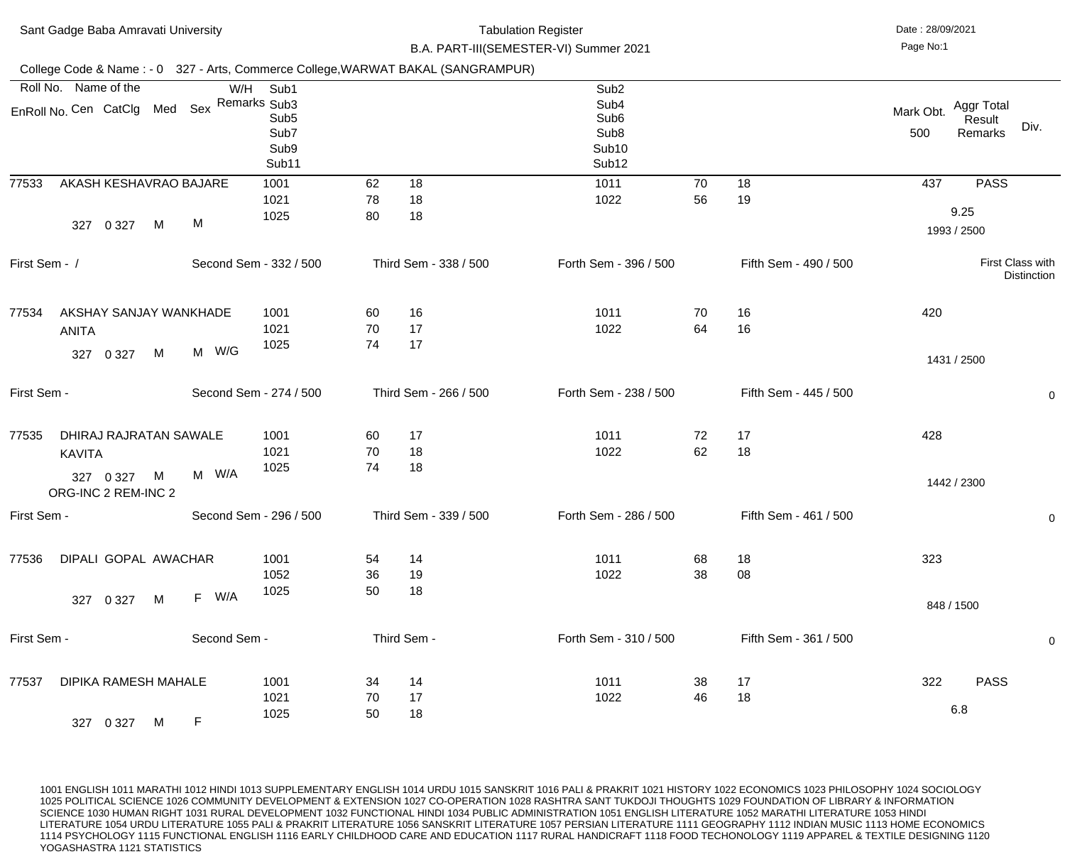|               | Sant Gadge Baba Amravati University                                              |              |                                                   | <b>Tabulation Register</b><br>B.A. PART-III(SEMESTER-VI) Summer 2021 |                       |                                                                                                                        |          |                       |                  | Date: 28/09/2021                        |
|---------------|----------------------------------------------------------------------------------|--------------|---------------------------------------------------|----------------------------------------------------------------------|-----------------------|------------------------------------------------------------------------------------------------------------------------|----------|-----------------------|------------------|-----------------------------------------|
|               | College Code & Name: - 0 327 - Arts, Commerce College, WARWAT BAKAL (SANGRAMPUR) |              |                                                   |                                                                      |                       |                                                                                                                        |          |                       |                  |                                         |
|               | Roll No. Name of the<br>EnRoll No. Cen CatClg Med Sex Remarks Sub3               | W/H          | Sub1<br>Sub <sub>5</sub><br>Sub7<br>Sub9<br>Sub11 |                                                                      |                       | Sub <sub>2</sub><br>Sub <sub>4</sub><br>Sub <sub>6</sub><br>Sub <sub>8</sub><br>Sub <sub>10</sub><br>Sub <sub>12</sub> |          |                       | Mark Obt.<br>500 | Aggr Total<br>Result<br>Div.<br>Remarks |
| 77533         | AKASH KESHAVRAO BAJARE<br>M<br>0 3 2 7<br>327                                    | M            | 1001<br>1021<br>1025                              | 62<br>78<br>80                                                       | 18<br>18<br>18        | 1011<br>1022                                                                                                           | 70<br>56 | 18<br>19              | 437              | <b>PASS</b><br>9.25<br>1993 / 2500      |
| First Sem - / |                                                                                  |              | Second Sem - 332 / 500                            |                                                                      | Third Sem - 338 / 500 | Forth Sem - 396 / 500                                                                                                  |          | Fifth Sem - 490 / 500 |                  | First Class with<br><b>Distinction</b>  |
| 77534         | AKSHAY SANJAY WANKHADE<br><b>ANITA</b><br>M<br>0 3 2 7<br>327                    | M W/G        | 1001<br>1021<br>1025                              | 60<br>70<br>74                                                       | 16<br>17<br>17        | 1011<br>1022                                                                                                           | 70<br>64 | 16<br>16              | 420              |                                         |
| First Sem -   |                                                                                  |              | Second Sem - 274 / 500                            |                                                                      | Third Sem - 266 / 500 | Forth Sem - 238 / 500                                                                                                  |          | Fifth Sem - 445 / 500 |                  | 1431 / 2500<br>$\mathbf 0$              |
| 77535         | DHIRAJ RAJRATAN SAWALE<br><b>KAVITA</b><br>327 0 327<br>M<br>ORG-INC 2 REM-INC 2 | M W/A        | 1001<br>1021<br>1025                              | 60<br>70<br>74                                                       | 17<br>18<br>18        | 1011<br>1022                                                                                                           | 72<br>62 | 17<br>18              | 428              | 1442 / 2300                             |
| First Sem -   |                                                                                  |              | Second Sem - 296 / 500                            |                                                                      | Third Sem - 339 / 500 | Forth Sem - 286 / 500                                                                                                  |          | Fifth Sem - 461 / 500 |                  | $\overline{0}$                          |
| 77536         | DIPALI GOPAL AWACHAR<br>327 0 327<br>M                                           | F W/A        | 1001<br>1052<br>1025                              | 54<br>36<br>50                                                       | 14<br>19<br>18        | 1011<br>1022                                                                                                           | 68<br>38 | 18<br>08              | 323              | 848 / 1500                              |
| First Sem -   |                                                                                  | Second Sem - |                                                   |                                                                      | Third Sem -           | Forth Sem - 310 / 500                                                                                                  |          | Fifth Sem - 361 / 500 |                  | $\mathbf 0$                             |
| 77537         | <b>DIPIKA RAMESH MAHALE</b><br>327 0 327<br>M                                    | $\mathsf F$  | 1001<br>1021<br>1025                              | 34<br>70<br>50                                                       | 14<br>17<br>18        | 1011<br>1022                                                                                                           | 38<br>46 | 17<br>18              | 322              | <b>PASS</b><br>6.8                      |
|               |                                                                                  |              |                                                   |                                                                      |                       |                                                                                                                        |          |                       |                  |                                         |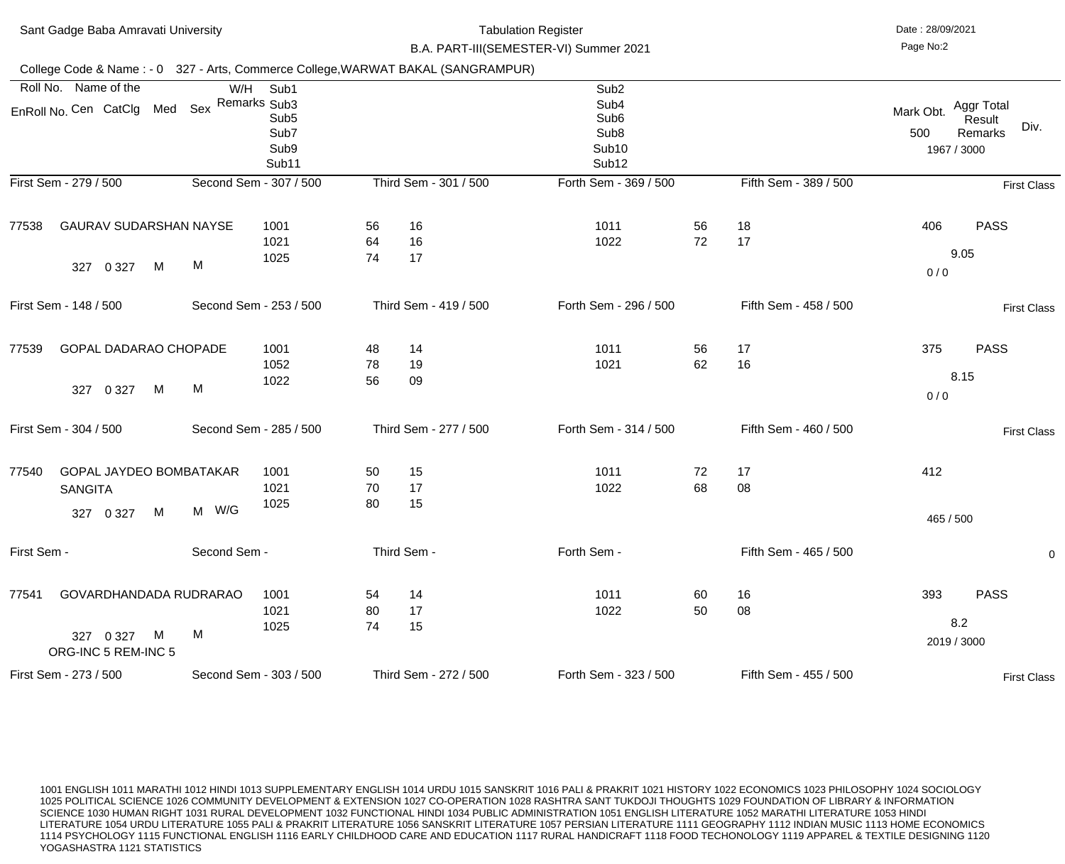| Sant Gadge Baba Amravati University<br>College Code & Name: - 0 327 - Arts, Commerce College, WARWAT BAKAL (SANGRAMPUR) |                                                    |              |                                                       |                | <b>Tabulation Register</b><br>B.A. PART-III(SEMESTER-VI) Summer 2021 |                                                                                                                        | Date: 28/09/2021<br>Page No:2 |                       |                                 |                                                |
|-------------------------------------------------------------------------------------------------------------------------|----------------------------------------------------|--------------|-------------------------------------------------------|----------------|----------------------------------------------------------------------|------------------------------------------------------------------------------------------------------------------------|-------------------------------|-----------------------|---------------------------------|------------------------------------------------|
|                                                                                                                         |                                                    |              |                                                       |                |                                                                      |                                                                                                                        |                               |                       |                                 |                                                |
| Roll No. Name of the<br>EnRoll No. Cen CatClg Med Sex Remarks Sub3                                                      |                                                    |              | W/H Sub1<br>Sub <sub>5</sub><br>Sub7<br>Sub9<br>Sub11 |                |                                                                      | Sub <sub>2</sub><br>Sub <sub>4</sub><br>Sub <sub>6</sub><br>Sub <sub>8</sub><br>Sub <sub>10</sub><br>Sub <sub>12</sub> |                               |                       | Mark Obt.<br>500<br>1967 / 3000 | <b>Aggr Total</b><br>Result<br>Div.<br>Remarks |
| First Sem - 279 / 500                                                                                                   |                                                    |              | Second Sem - 307 / 500                                |                | Third Sem - 301 / 500                                                | Forth Sem - 369 / 500                                                                                                  |                               | Fifth Sem - 389 / 500 |                                 | <b>First Class</b>                             |
| 77538<br>327                                                                                                            | <b>GAURAV SUDARSHAN NAYSE</b><br>0 3 2 7<br>M      | M            | 1001<br>1021<br>1025                                  | 56<br>64<br>74 | 16<br>16<br>17                                                       | 1011<br>1022                                                                                                           | 56<br>72                      | 18<br>17              | 406<br>0/0                      | <b>PASS</b><br>9.05                            |
| First Sem - 148 / 500                                                                                                   |                                                    |              | Second Sem - 253 / 500                                |                | Third Sem - 419 / 500                                                | Forth Sem - 296 / 500                                                                                                  |                               | Fifth Sem - 458 / 500 |                                 | <b>First Class</b>                             |
| 77539<br>327                                                                                                            | <b>GOPAL DADARAO CHOPADE</b><br>M<br>0 3 2 7       | M            | 1001<br>1052<br>1022                                  | 48<br>78<br>56 | 14<br>19<br>09                                                       | 1011<br>1021                                                                                                           | 56<br>62                      | 17<br>16              | 375<br>0/0                      | <b>PASS</b><br>8.15                            |
| First Sem - 304 / 500                                                                                                   |                                                    |              | Second Sem - 285 / 500                                |                | Third Sem - 277 / 500                                                | Forth Sem - 314 / 500                                                                                                  |                               | Fifth Sem - 460 / 500 |                                 | <b>First Class</b>                             |
| 77540<br><b>SANGITA</b><br>327 0 327                                                                                    | GOPAL JAYDEO BOMBATAKAR<br>M                       | M W/G        | 1001<br>1021<br>1025                                  | 50<br>70<br>80 | 15<br>17<br>15                                                       | 1011<br>1022                                                                                                           | 72<br>68                      | 17<br>08              | 412<br>465 / 500                |                                                |
| First Sem -                                                                                                             |                                                    | Second Sem - |                                                       |                | Third Sem -                                                          | Forth Sem -                                                                                                            |                               | Fifth Sem - 465 / 500 |                                 | $\mathbf 0$                                    |
| 77541<br>327 0 327                                                                                                      | GOVARDHANDADA RUDRARAO<br>M<br>ORG-INC 5 REM-INC 5 | M            | 1001<br>1021<br>1025                                  | 54<br>80<br>74 | 14<br>17<br>15                                                       | 1011<br>1022                                                                                                           | 60<br>50                      | 16<br>08              | 393<br>2019 / 3000              | <b>PASS</b><br>8.2                             |
| First Sem - 273 / 500                                                                                                   |                                                    |              | Second Sem - 303 / 500                                |                | Third Sem - 272 / 500                                                | Forth Sem - 323 / 500                                                                                                  |                               | Fifth Sem - 455 / 500 |                                 | <b>First Class</b>                             |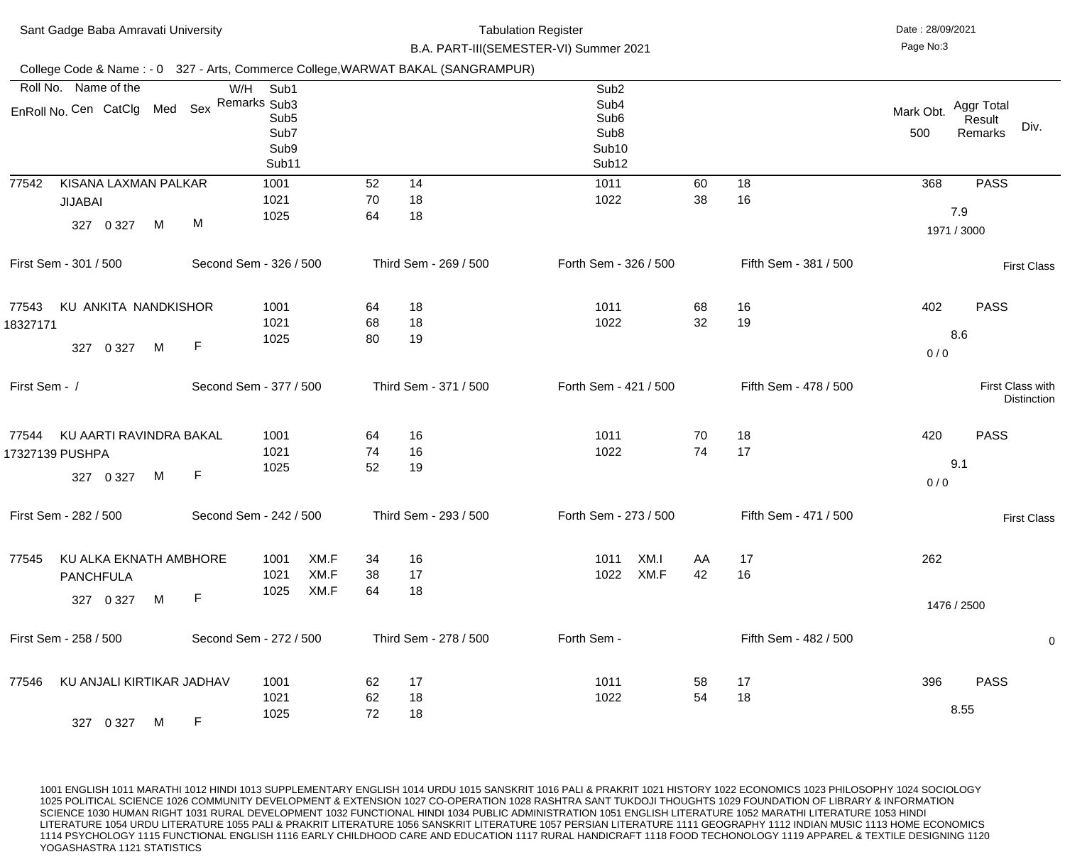| Sant Gadge Baba Amravati University<br>College Code & Name: - 0 327 - Arts, Commerce College, WARWAT BAKAL (SANGRAMPUR) |                        |                                                   |                      | <b>Tabulation Register</b><br>B.A. PART-III(SEMESTER-VI) Summer 2021 |                       |  |                                                                                                                        |              |          |                       | Date: 28/09/2021<br>Page No:3 |                                         |
|-------------------------------------------------------------------------------------------------------------------------|------------------------|---------------------------------------------------|----------------------|----------------------------------------------------------------------|-----------------------|--|------------------------------------------------------------------------------------------------------------------------|--------------|----------|-----------------------|-------------------------------|-----------------------------------------|
|                                                                                                                         |                        |                                                   |                      |                                                                      |                       |  |                                                                                                                        |              |          |                       |                               |                                         |
| Roll No. Name of the<br>EnRoll No. Cen CatClg Med Sex Remarks Sub3                                                      | W/H                    | Sub1<br>Sub <sub>5</sub><br>Sub7<br>Sub9<br>Sub11 |                      |                                                                      |                       |  | Sub <sub>2</sub><br>Sub <sub>4</sub><br>Sub <sub>6</sub><br>Sub <sub>8</sub><br>Sub <sub>10</sub><br>Sub <sub>12</sub> |              |          |                       | Mark Obt.<br>500              | Aggr Total<br>Result<br>Div.<br>Remarks |
| KISANA LAXMAN PALKAR<br>77542<br><b>JIJABAI</b><br>0 3 2 7<br>M<br>327                                                  | M                      | 1001<br>1021<br>1025                              |                      | 52<br>70<br>64                                                       | 14<br>18<br>18        |  | 1011<br>1022                                                                                                           |              | 60<br>38 | 18<br>16              | 368                           | <b>PASS</b><br>7.9<br>1971 / 3000       |
| First Sem - 301 / 500                                                                                                   | Second Sem - 326 / 500 |                                                   |                      |                                                                      | Third Sem - 269 / 500 |  | Forth Sem - 326 / 500                                                                                                  |              |          | Fifth Sem - 381 / 500 |                               | <b>First Class</b>                      |
| KU ANKITA NANDKISHOR<br>77543<br>18327171<br>M<br>327 0 327                                                             | $\mathsf F$            | 1001<br>1021<br>1025                              |                      | 64<br>68<br>80                                                       | 18<br>18<br>19        |  | 1011<br>1022                                                                                                           |              | 68<br>32 | 16<br>19              | 402<br>0/0                    | <b>PASS</b><br>8.6                      |
| First Sem - /                                                                                                           | Second Sem - 377 / 500 |                                                   |                      |                                                                      | Third Sem - 371 / 500 |  | Forth Sem - 421 / 500                                                                                                  |              |          | Fifth Sem - 478 / 500 |                               | First Class with<br><b>Distinction</b>  |
| KU AARTI RAVINDRA BAKAL<br>77544<br>17327139 PUSHPA<br>327 0 327<br>M                                                   | F                      | 1001<br>1021<br>1025                              |                      | 64<br>74<br>52                                                       | 16<br>16<br>19        |  | 1011<br>1022                                                                                                           |              | 70<br>74 | 18<br>17              | 420<br>0/0                    | <b>PASS</b><br>9.1                      |
| First Sem - 282 / 500                                                                                                   | Second Sem - 242 / 500 |                                                   |                      |                                                                      | Third Sem - 293 / 500 |  | Forth Sem - 273 / 500                                                                                                  |              |          | Fifth Sem - 471 / 500 |                               | <b>First Class</b>                      |
| KU ALKA EKNATH AMBHORE<br>77545<br><b>PANCHFULA</b><br>327 0 327<br>M                                                   | $\mathsf F$            | 1001<br>1021<br>1025                              | XM.F<br>XM.F<br>XM.F | 34<br>38<br>64                                                       | 16<br>17<br>18        |  | 1011<br>1022                                                                                                           | XM.I<br>XM.F | AA<br>42 | 17<br>16              | 262                           | 1476 / 2500                             |
| First Sem - 258 / 500                                                                                                   | Second Sem - 272 / 500 |                                                   |                      |                                                                      | Third Sem - 278 / 500 |  | Forth Sem -                                                                                                            |              |          | Fifth Sem - 482 / 500 |                               | $\overline{0}$                          |
| KU ANJALI KIRTIKAR JADHAV<br>77546<br>327 0 327<br>M                                                                    | F                      | 1001<br>1021<br>1025                              |                      | 62<br>62<br>72                                                       | 17<br>18<br>18        |  | 1011<br>1022                                                                                                           |              | 58<br>54 | 17<br>18              | 396                           | <b>PASS</b><br>8.55                     |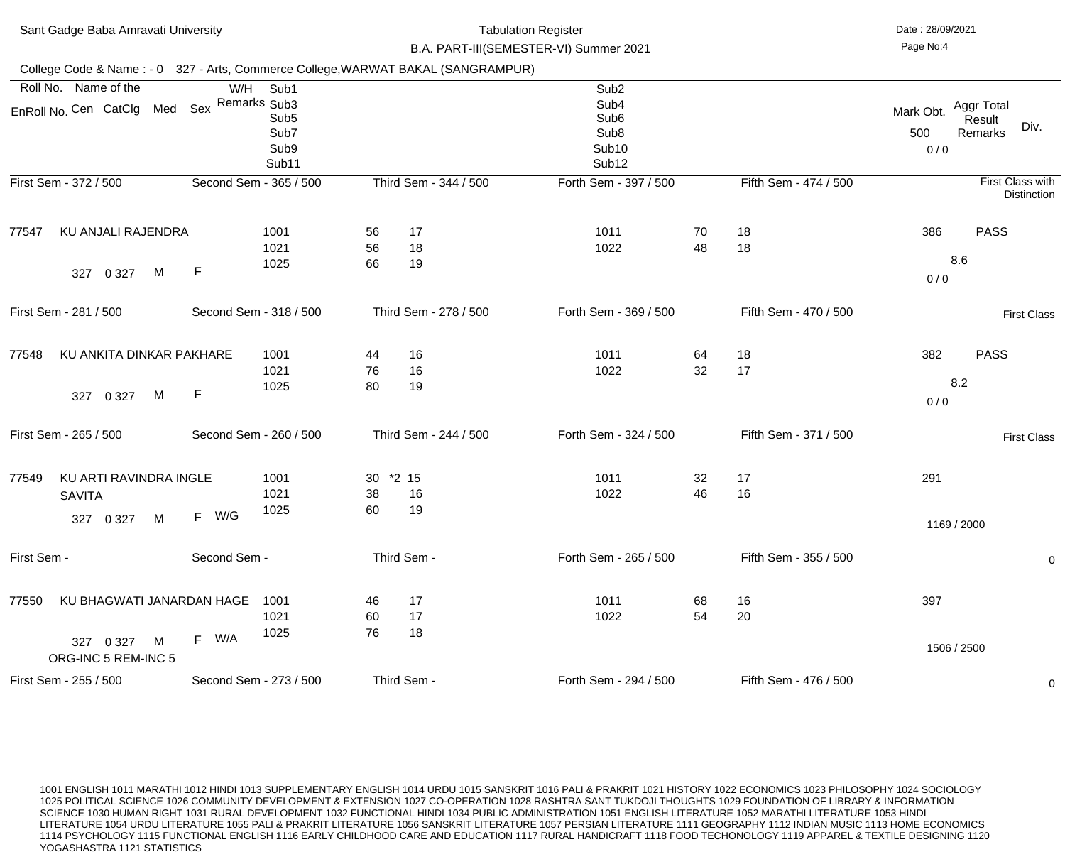| Sant Gadge Baba Amravati University                                              |   | <b>Tabulation Register</b><br>B.A. PART-III(SEMESTER-VI) Summer 2021 |                                                                   |                |                       |  |                                                                                                                        | Date: 28/09/2021<br>Page No:4 |                       |                         |                                               |
|----------------------------------------------------------------------------------|---|----------------------------------------------------------------------|-------------------------------------------------------------------|----------------|-----------------------|--|------------------------------------------------------------------------------------------------------------------------|-------------------------------|-----------------------|-------------------------|-----------------------------------------------|
| College Code & Name: - 0 327 - Arts, Commerce College, WARWAT BAKAL (SANGRAMPUR) |   |                                                                      |                                                                   |                |                       |  |                                                                                                                        |                               |                       |                         |                                               |
| Roll No. Name of the<br>EnRoll No. Cen CatClg Med Sex                            |   | W/H                                                                  | Sub1<br>Remarks Sub3<br>Sub <sub>5</sub><br>Sub7<br>Sub9<br>Sub11 |                |                       |  | Sub <sub>2</sub><br>Sub <sub>4</sub><br>Sub <sub>6</sub><br>Sub <sub>8</sub><br>Sub <sub>10</sub><br>Sub <sub>12</sub> |                               |                       | Mark Obt.<br>500<br>0/0 | Aggr Total<br>Result<br>Div.<br>Remarks       |
| First Sem - 372 / 500                                                            |   |                                                                      | Second Sem - 365 / 500                                            |                | Third Sem - 344 / 500 |  | Forth Sem - 397 / 500                                                                                                  |                               | Fifth Sem - 474 / 500 |                         | <b>First Class with</b><br><b>Distinction</b> |
| <b>KU ANJALI RAJENDRA</b><br>77547<br>0 3 2 7<br>327                             | M | F                                                                    | 1001<br>1021<br>1025                                              | 56<br>56<br>66 | 17<br>18<br>19        |  | 1011<br>1022                                                                                                           | 70<br>48                      | 18<br>18              | 386<br>0/0              | <b>PASS</b><br>8.6                            |
| First Sem - 281 / 500                                                            |   |                                                                      | Second Sem - 318 / 500                                            |                | Third Sem - 278 / 500 |  | Forth Sem - 369 / 500                                                                                                  |                               | Fifth Sem - 470 / 500 |                         | <b>First Class</b>                            |
| KU ANKITA DINKAR PAKHARE<br>77548<br>0 3 2 7<br>327                              | M | $\mathsf F$                                                          | 1001<br>1021<br>1025                                              | 44<br>76<br>80 | 16<br>16<br>19        |  | 1011<br>1022                                                                                                           | 64<br>32                      | 18<br>17              | 382<br>0/0              | <b>PASS</b><br>8.2                            |
| First Sem - 265 / 500                                                            |   |                                                                      | Second Sem - 260 / 500                                            |                | Third Sem - 244 / 500 |  | Forth Sem - 324 / 500                                                                                                  |                               | Fifth Sem - 371 / 500 |                         | <b>First Class</b>                            |
| KU ARTI RAVINDRA INGLE<br>77549<br><b>SAVITA</b><br>0 3 2 7<br>327               | M | F W/G                                                                | 1001<br>1021<br>1025                                              | 30<br>38<br>60 | $*2\;15$<br>16<br>19  |  | 1011<br>1022                                                                                                           | 32<br>46                      | 17<br>16              | 291                     | 1169 / 2000                                   |
| First Sem -                                                                      |   | Second Sem -                                                         |                                                                   |                | Third Sem -           |  | Forth Sem - 265 / 500                                                                                                  |                               | Fifth Sem - 355 / 500 |                         | $\overline{0}$                                |
| KU BHAGWATI JANARDAN HAGE<br>77550<br>327 0 327<br>ORG-INC 5 REM-INC 5           | M | W/A<br>F                                                             | 1001<br>1021<br>1025                                              | 46<br>60<br>76 | 17<br>17<br>18        |  | 1011<br>1022                                                                                                           | 68<br>54                      | 16<br>20              | 397                     | 1506 / 2500                                   |
| First Sem - 255 / 500                                                            |   |                                                                      | Second Sem - 273 / 500                                            |                | Third Sem -           |  | Forth Sem - 294 / 500                                                                                                  |                               | Fifth Sem - 476 / 500 |                         | $\overline{0}$                                |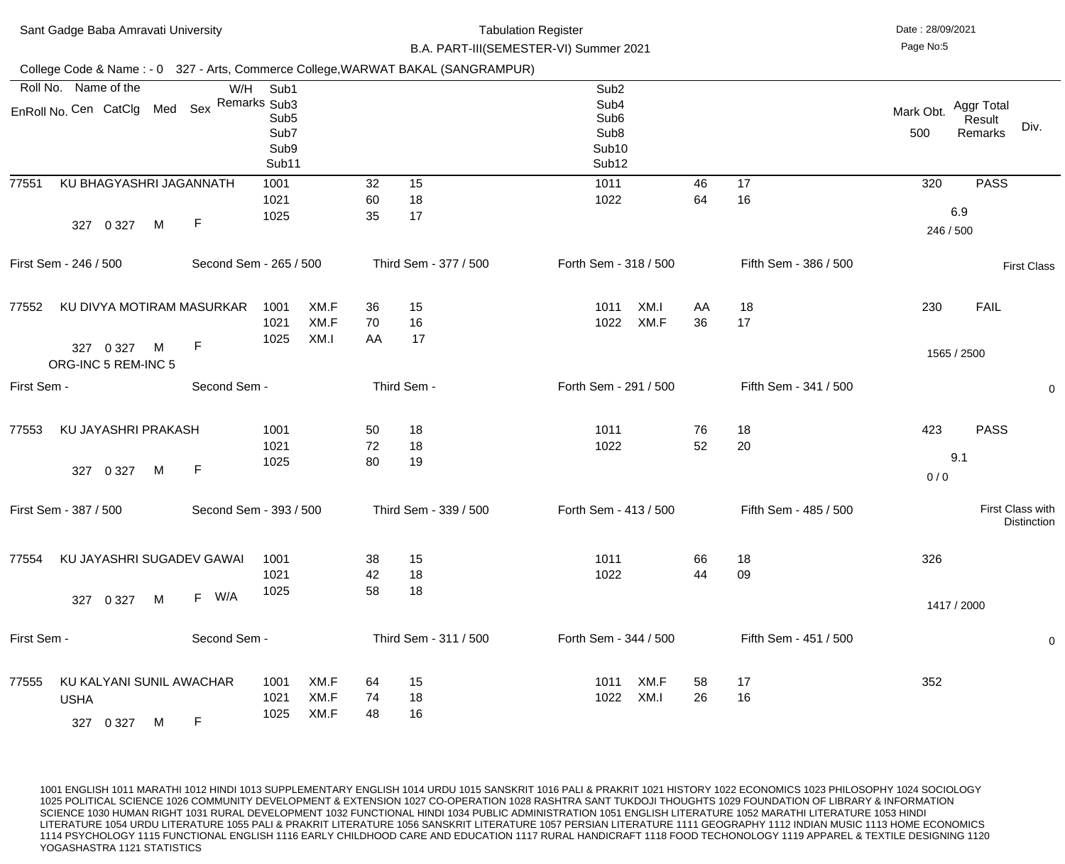| Sant Gadge Baba Amravati University                                              |   |                        |                                                   |                      |                |                |                       | <b>Tabulation Register</b><br>B.A. PART-III(SEMESTER-VI) Summer 2021                                       |              |          |                       | Date: 28/09/2021<br>Page No:5 |                                 |                    |
|----------------------------------------------------------------------------------|---|------------------------|---------------------------------------------------|----------------------|----------------|----------------|-----------------------|------------------------------------------------------------------------------------------------------------|--------------|----------|-----------------------|-------------------------------|---------------------------------|--------------------|
| College Code & Name: - 0 327 - Arts, Commerce College, WARWAT BAKAL (SANGRAMPUR) |   |                        |                                                   |                      |                |                |                       |                                                                                                            |              |          |                       |                               |                                 |                    |
| Roll No. Name of the<br>EnRoll No. Cen CatClg Med Sex Remarks Sub3               |   | W/H                    | Sub1<br>Sub <sub>5</sub><br>Sub7<br>Sub9<br>Sub11 |                      |                |                |                       | Sub <sub>2</sub><br>Sub4<br>Sub <sub>6</sub><br>Sub <sub>8</sub><br>Sub <sub>10</sub><br>Sub <sub>12</sub> |              |          |                       | Mark Obt.<br>500              | Aggr Total<br>Result<br>Remarks | Div.               |
| 77551<br>KU BHAGYASHRI JAGANNATH<br>327 0 327                                    | M | $\mathsf{F}$           | 1001<br>1021<br>1025                              |                      | 32<br>60<br>35 | 15<br>18<br>17 |                       | 1011<br>1022                                                                                               |              | 46<br>64 | 17<br>16              | 320<br>246 / 500              | <b>PASS</b><br>6.9              |                    |
| First Sem - 246 / 500                                                            |   | Second Sem - 265 / 500 |                                                   |                      |                |                | Third Sem - 377 / 500 | Forth Sem - 318 / 500                                                                                      |              |          | Fifth Sem - 386 / 500 |                               |                                 | <b>First Class</b> |
| KU DIVYA MOTIRAM MASURKAR<br>77552<br>327 0 327                                  | M | $\mathsf F$            | 1001<br>1021<br>1025                              | XM.F<br>XM.F<br>XM.I | 36<br>70<br>AA | 15<br>16<br>17 |                       | 1011<br>1022                                                                                               | XM.I<br>XM.F | AA<br>36 | 18<br>17              | 230                           | <b>FAIL</b><br>1565 / 2500      |                    |
| ORG-INC 5 REM-INC 5                                                              |   |                        |                                                   |                      |                |                |                       |                                                                                                            |              |          |                       |                               |                                 |                    |
| First Sem -                                                                      |   | Second Sem -           |                                                   |                      |                | Third Sem -    |                       | Forth Sem - 291 / 500                                                                                      |              |          | Fifth Sem - 341 / 500 |                               |                                 | 0                  |
| KU JAYASHRI PRAKASH<br>77553<br>327 0 327 M F                                    |   |                        | 1001<br>1021<br>1025                              |                      | 50<br>72<br>80 | 18<br>18<br>19 |                       | 1011<br>1022                                                                                               |              | 76<br>52 | 18<br>20              | 423<br>0/0                    | <b>PASS</b><br>9.1              |                    |
| First Sem - 387 / 500                                                            |   | Second Sem - 393 / 500 |                                                   |                      |                |                | Third Sem - 339 / 500 | Forth Sem - 413 / 500                                                                                      |              |          | Fifth Sem - 485 / 500 |                               | First Class with                | <b>Distinction</b> |
| KU JAYASHRI SUGADEV GAWAI<br>77554<br>0 3 2 7<br>327                             | M | F W/A                  | 1001<br>1021<br>1025                              |                      | 38<br>42<br>58 | 15<br>18<br>18 |                       | 1011<br>1022                                                                                               |              | 66<br>44 | 18<br>09              | 326                           | 1417 / 2000                     |                    |
| First Sem -                                                                      |   | Second Sem -           |                                                   |                      |                |                | Third Sem - 311 / 500 | Forth Sem - 344 / 500                                                                                      |              |          | Fifth Sem - 451 / 500 |                               |                                 | $\mathbf 0$        |
| KU KALYANI SUNIL AWACHAR<br>77555<br><b>USHA</b><br>0 3 2 7<br>327               | M | F                      | 1001<br>1021<br>1025                              | XM.F<br>XM.F<br>XM.F | 64<br>74<br>48 | 15<br>18<br>16 |                       | 1011<br>1022                                                                                               | XM.F<br>XM.I | 58<br>26 | 17<br>16              | 352                           |                                 |                    |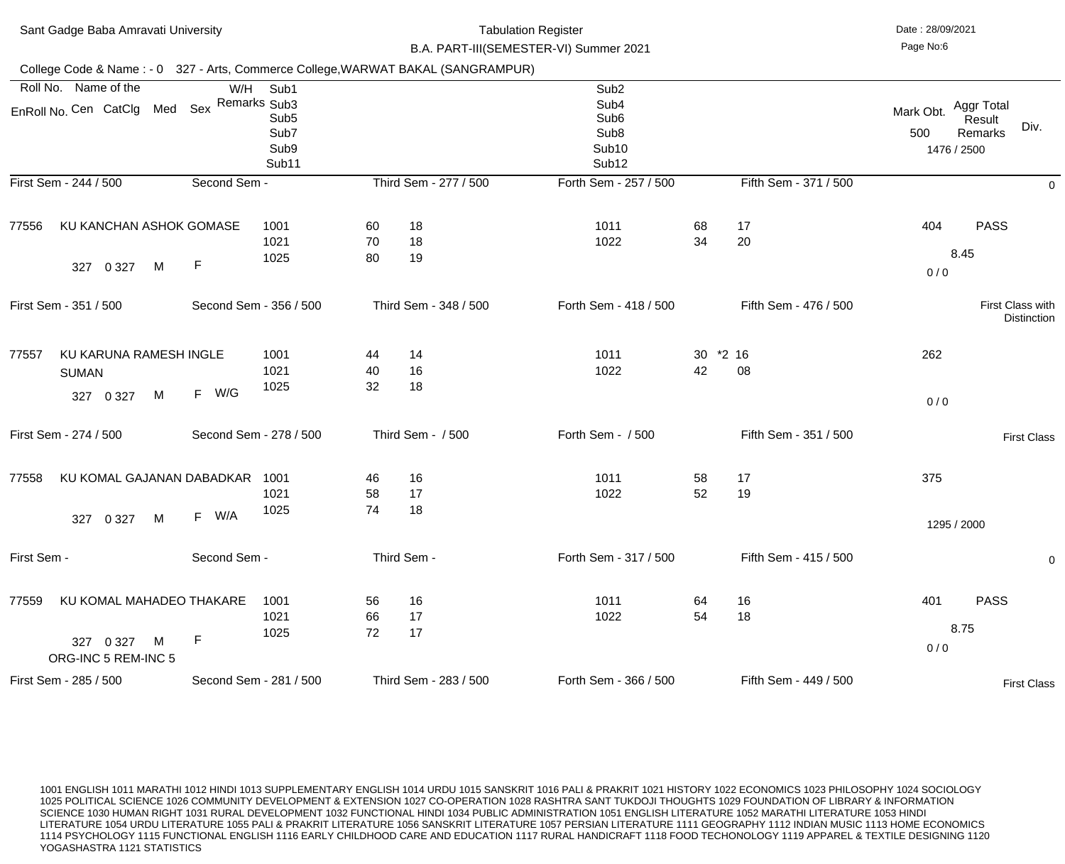|             | Sant Gadge Baba Amravati University                                              |              |                                                   |                | <b>Tabulation Register</b><br>B.A. PART-III(SEMESTER-VI) Summer 2021 |                                                                                                                        | Date: 28/09/2021<br>Page No:6 |                       |                                 |                                         |
|-------------|----------------------------------------------------------------------------------|--------------|---------------------------------------------------|----------------|----------------------------------------------------------------------|------------------------------------------------------------------------------------------------------------------------|-------------------------------|-----------------------|---------------------------------|-----------------------------------------|
|             | College Code & Name: - 0 327 - Arts, Commerce College, WARWAT BAKAL (SANGRAMPUR) |              |                                                   |                |                                                                      |                                                                                                                        |                               |                       |                                 |                                         |
|             | Roll No. Name of the<br>EnRoll No. Cen CatClg Med Sex Remarks Sub3               | W/H          | Sub1<br>Sub <sub>5</sub><br>Sub7<br>Sub9<br>Sub11 |                |                                                                      | Sub <sub>2</sub><br>Sub <sub>4</sub><br>Sub <sub>6</sub><br>Sub <sub>8</sub><br>Sub <sub>10</sub><br>Sub <sub>12</sub> |                               |                       | Mark Obt.<br>500<br>1476 / 2500 | Aggr Total<br>Result<br>Div.<br>Remarks |
|             | First Sem - 244 / 500                                                            | Second Sem - |                                                   |                | Third Sem - 277 / 500                                                | Forth Sem - 257 / 500                                                                                                  |                               | Fifth Sem - 371 / 500 |                                 | $\mathbf 0$                             |
| 77556       | KU KANCHAN ASHOK GOMASE<br>M<br>0 3 2 7<br>327                                   | $\mathsf F$  | 1001<br>1021<br>1025                              | 60<br>70<br>80 | 18<br>18<br>19                                                       | 1011<br>1022                                                                                                           | 68<br>34                      | 17<br>20              | 404<br>0/0                      | <b>PASS</b><br>8.45                     |
|             | First Sem - 351 / 500                                                            |              | Second Sem - 356 / 500                            |                | Third Sem - 348 / 500                                                | Forth Sem - 418 / 500                                                                                                  |                               | Fifth Sem - 476 / 500 |                                 | First Class with<br><b>Distinction</b>  |
| 77557       | KU KARUNA RAMESH INGLE<br><b>SUMAN</b><br>M<br>0 3 2 7<br>327                    | F W/G        | 1001<br>1021<br>1025                              | 44<br>40<br>32 | 14<br>16<br>18                                                       | 1011<br>1022                                                                                                           | 30<br>42                      | $*2$ 16<br>08         | 262<br>0/0                      |                                         |
|             | First Sem - 274 / 500                                                            |              | Second Sem - 278 / 500                            |                | Third Sem - / 500                                                    | Forth Sem - / 500                                                                                                      |                               | Fifth Sem - 351 / 500 |                                 | <b>First Class</b>                      |
| 77558       | KU KOMAL GAJANAN DABADKAR<br>M<br>0 3 2 7<br>327                                 | W/A<br>F     | 1001<br>1021<br>1025                              | 46<br>58<br>74 | 16<br>17<br>18                                                       | 1011<br>1022                                                                                                           | 58<br>52                      | 17<br>19              | 375<br>1295 / 2000              |                                         |
| First Sem - |                                                                                  | Second Sem - |                                                   |                | Third Sem -                                                          | Forth Sem - 317 / 500                                                                                                  |                               | Fifth Sem - 415 / 500 |                                 | $\overline{0}$                          |
| 77559       | KU KOMAL MAHADEO THAKARE<br>M<br>327 0 327<br>ORG-INC 5 REM-INC 5                | $\mathsf{F}$ | 1001<br>1021<br>1025                              | 56<br>66<br>72 | 16<br>17<br>17                                                       | 1011<br>1022                                                                                                           | 64<br>54                      | 16<br>18              | 401<br>0/0                      | <b>PASS</b><br>8.75                     |
|             | First Sem - 285 / 500                                                            |              | Second Sem - 281 / 500                            |                | Third Sem - 283 / 500                                                | Forth Sem - 366 / 500                                                                                                  |                               | Fifth Sem - 449 / 500 |                                 | <b>First Class</b>                      |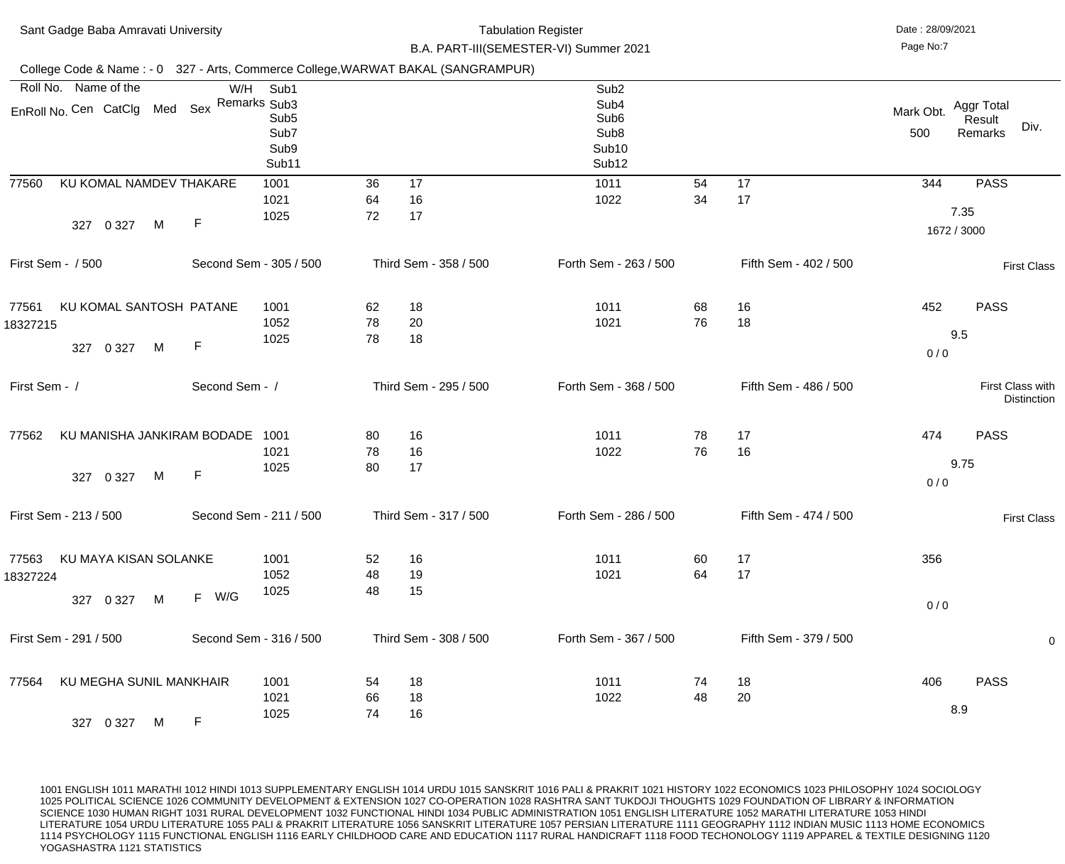| Sant Gadge Baba Amravati University                                              |                |                                                   |                |                       | <b>Tabulation Register</b><br>B.A. PART-III(SEMESTER-VI) Summer 2021                                                   |          |                       | Date: 28/09/2021<br>Page No:7 |                                         |
|----------------------------------------------------------------------------------|----------------|---------------------------------------------------|----------------|-----------------------|------------------------------------------------------------------------------------------------------------------------|----------|-----------------------|-------------------------------|-----------------------------------------|
| College Code & Name: - 0 327 - Arts, Commerce College, WARWAT BAKAL (SANGRAMPUR) |                |                                                   |                |                       |                                                                                                                        |          |                       |                               |                                         |
| Roll No. Name of the<br>EnRoll No. Cen CatClg Med Sex Remarks Sub3               | W/H            | Sub1<br>Sub <sub>5</sub><br>Sub7<br>Sub9<br>Sub11 |                |                       | Sub <sub>2</sub><br>Sub <sub>4</sub><br>Sub <sub>6</sub><br>Sub <sub>8</sub><br>Sub <sub>10</sub><br>Sub <sub>12</sub> |          |                       | Mark Obt.<br>500              | Aggr Total<br>Result<br>Div.<br>Remarks |
| KU KOMAL NAMDEV THAKARE<br>77560<br>M<br>0 3 2 7<br>327                          | $\mathsf F$    | 1001<br>1021<br>1025                              | 36<br>64<br>72 | 17<br>16<br>17        | 1011<br>1022                                                                                                           | 54<br>34 | 17<br>17              | 344                           | <b>PASS</b><br>7.35<br>1672 / 3000      |
| First Sem - / 500                                                                |                | Second Sem - 305 / 500                            |                | Third Sem - 358 / 500 | Forth Sem - 263 / 500                                                                                                  |          | Fifth Sem - 402 / 500 |                               | <b>First Class</b>                      |
| KU KOMAL SANTOSH PATANE<br>77561<br>18327215<br>M<br>327 0 327                   | $\mathsf F$    | 1001<br>1052<br>1025                              | 62<br>78<br>78 | 18<br>20<br>18        | 1011<br>1021                                                                                                           | 68<br>76 | 16<br>18              | 452<br>0/0                    | <b>PASS</b><br>9.5                      |
| First Sem - /                                                                    | Second Sem - / |                                                   |                | Third Sem - 295 / 500 | Forth Sem - 368 / 500                                                                                                  |          | Fifth Sem - 486 / 500 |                               | First Class with<br><b>Distinction</b>  |
| KU MANISHA JANKIRAM BODADE<br>77562<br>327 0 327<br>M                            | F              | 1001<br>1021<br>1025                              | 80<br>78<br>80 | 16<br>16<br>17        | 1011<br>1022                                                                                                           | 78<br>76 | 17<br>16              | 474<br>0/0                    | <b>PASS</b><br>9.75                     |
| First Sem - 213 / 500                                                            |                | Second Sem - 211 / 500                            |                | Third Sem - 317 / 500 | Forth Sem - 286 / 500                                                                                                  |          | Fifth Sem - 474 / 500 |                               | <b>First Class</b>                      |
| KU MAYA KISAN SOLANKE<br>77563<br>18327224<br>M<br>327 0 327                     | F W/G          | 1001<br>1052<br>1025                              | 52<br>48<br>48 | 16<br>19<br>15        | 1011<br>1021                                                                                                           | 60<br>64 | 17<br>17              | 356<br>0/0                    |                                         |
| First Sem - 291 / 500                                                            |                | Second Sem - 316 / 500                            |                | Third Sem - 308 / 500 | Forth Sem - 367 / 500                                                                                                  |          | Fifth Sem - 379 / 500 |                               | $\mathbf 0$                             |
| KU MEGHA SUNIL MANKHAIR<br>77564<br>327 0 327<br>M                               | F.             | 1001<br>1021<br>1025                              | 54<br>66<br>74 | 18<br>18<br>16        | 1011<br>1022                                                                                                           | 74<br>48 | 18<br>20              | 406                           | <b>PASS</b><br>8.9                      |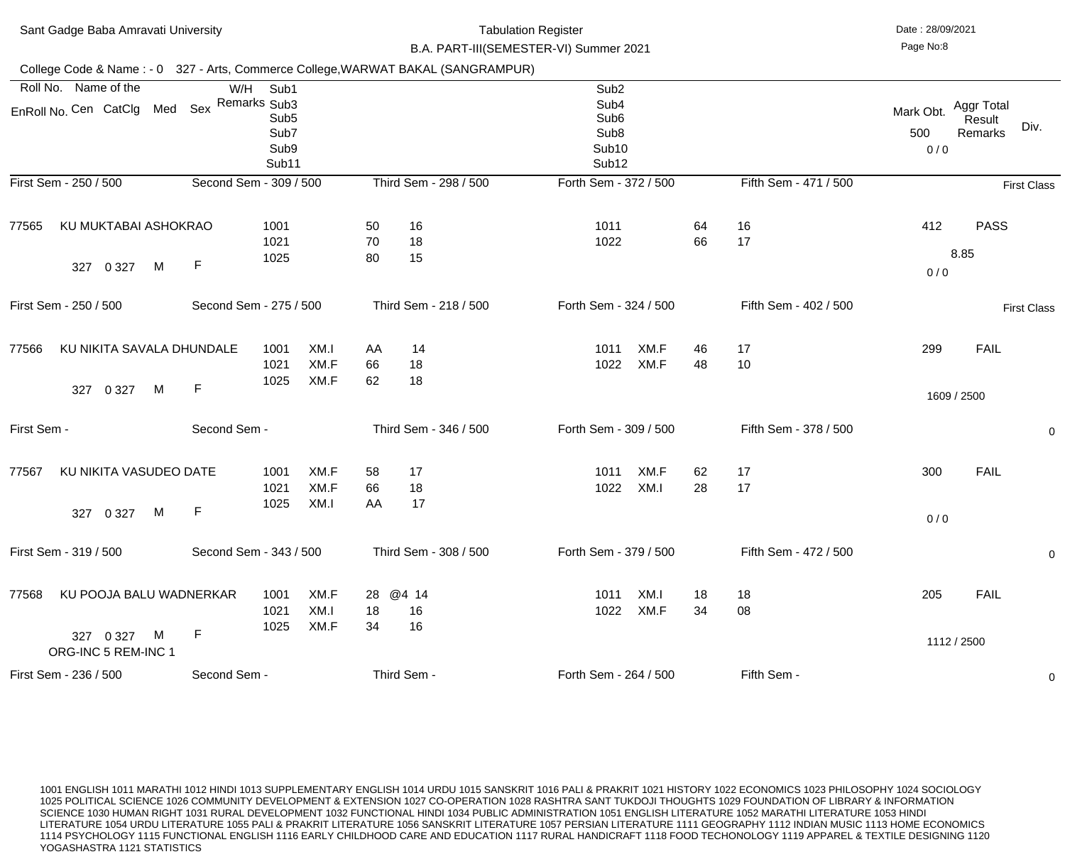| Sant Gadge Baba Amravati University<br>College Code & Name: - 0 327 - Arts, Commerce College, WARWAT BAKAL (SANGRAMPUR) |                        |                                                                   |                      |                | <b>Tabulation Register</b><br>B.A. PART-III(SEMESTER-VI) Summer 2021 |                       |                                                                                                            |              |          |                       | Date: 28/09/2021<br>Page No:8 |                                 |                    |
|-------------------------------------------------------------------------------------------------------------------------|------------------------|-------------------------------------------------------------------|----------------------|----------------|----------------------------------------------------------------------|-----------------------|------------------------------------------------------------------------------------------------------------|--------------|----------|-----------------------|-------------------------------|---------------------------------|--------------------|
|                                                                                                                         |                        |                                                                   |                      |                |                                                                      |                       |                                                                                                            |              |          |                       |                               |                                 |                    |
| Roll No. Name of the<br>EnRoll No. Cen CatClg Med                                                                       | W/H<br>Sex             | Sub1<br>Remarks Sub3<br>Sub <sub>5</sub><br>Sub7<br>Sub9<br>Sub11 |                      |                |                                                                      |                       | Sub <sub>2</sub><br>Sub4<br>Sub <sub>6</sub><br>Sub <sub>8</sub><br>Sub <sub>10</sub><br>Sub <sub>12</sub> |              |          | Mark Obt.<br>500      |                               | Aggr Total<br>Result<br>Remarks | Div.               |
| First Sem - 250 / 500                                                                                                   | Second Sem - 309 / 500 |                                                                   |                      |                |                                                                      | Third Sem - 298 / 500 | Forth Sem - 372 / 500                                                                                      |              |          | Fifth Sem - 471 / 500 |                               |                                 | <b>First Class</b> |
| KU MUKTABAI ASHOKRAO<br>77565<br>M<br>0 3 2 7<br>327                                                                    | $\mathsf F$            | 1001<br>1021<br>1025                                              |                      | 50<br>70<br>80 | 16<br>18<br>15                                                       |                       | 1011<br>1022                                                                                               |              | 64<br>66 | 16<br>17              | 412<br>0/0                    | <b>PASS</b><br>8.85             |                    |
| First Sem - 250 / 500                                                                                                   | Second Sem - 275 / 500 |                                                                   |                      |                |                                                                      | Third Sem - 218 / 500 | Forth Sem - 324 / 500                                                                                      |              |          | Fifth Sem - 402 / 500 |                               |                                 | <b>First Class</b> |
| KU NIKITA SAVALA DHUNDALE<br>77566<br>M                                                                                 | $\mathsf F$            | 1001<br>1021<br>1025                                              | XM.I<br>XM.F<br>XM.F | AA<br>66<br>62 | 14<br>18<br>18                                                       |                       | 1011<br>1022                                                                                               | XM.F<br>XM.F | 46<br>48 | 17<br>10              | 299                           | <b>FAIL</b>                     |                    |
| 0 3 2 7<br>327<br>First Sem -                                                                                           | Second Sem -           |                                                                   |                      |                |                                                                      | Third Sem - 346 / 500 | Forth Sem - 309 / 500                                                                                      |              |          | Fifth Sem - 378 / 500 |                               | 1609 / 2500                     |                    |
|                                                                                                                         |                        |                                                                   |                      |                |                                                                      |                       |                                                                                                            |              |          |                       |                               |                                 | $\mathbf 0$        |
| KU NIKITA VASUDEO DATE<br>77567<br>M<br>327 0 327                                                                       | $\mathsf F$            | 1001<br>1021<br>1025                                              | XM.F<br>XM.F<br>XM.I | 58<br>66<br>AA | 17<br>18<br>17                                                       |                       | 1011<br>1022                                                                                               | XM.F<br>XM.I | 62<br>28 | 17<br>17              | 300<br>0/0                    | <b>FAIL</b>                     |                    |
| First Sem - 319 / 500                                                                                                   | Second Sem - 343 / 500 |                                                                   |                      |                |                                                                      | Third Sem - 308 / 500 | Forth Sem - 379 / 500                                                                                      |              |          | Fifth Sem - 472 / 500 |                               |                                 | $\mathbf 0$        |
| KU POOJA BALU WADNERKAR<br>77568<br>327 0 327<br>M                                                                      | $\mathsf F$            | 1001<br>1021<br>1025                                              | XM.F<br>XM.I<br>XM.F | 18<br>34       | 28 @4 14<br>16<br>16                                                 |                       | 1011<br>1022                                                                                               | XM.I<br>XM.F | 18<br>34 | 18<br>08              | 205                           | <b>FAIL</b><br>1112 / 2500      |                    |
| ORG-INC 5 REM-INC 1<br>First Sem - 236 / 500                                                                            | Second Sem -           |                                                                   |                      |                | Third Sem -                                                          |                       | Forth Sem - 264 / 500                                                                                      |              |          | Fifth Sem -           |                               |                                 | $\overline{0}$     |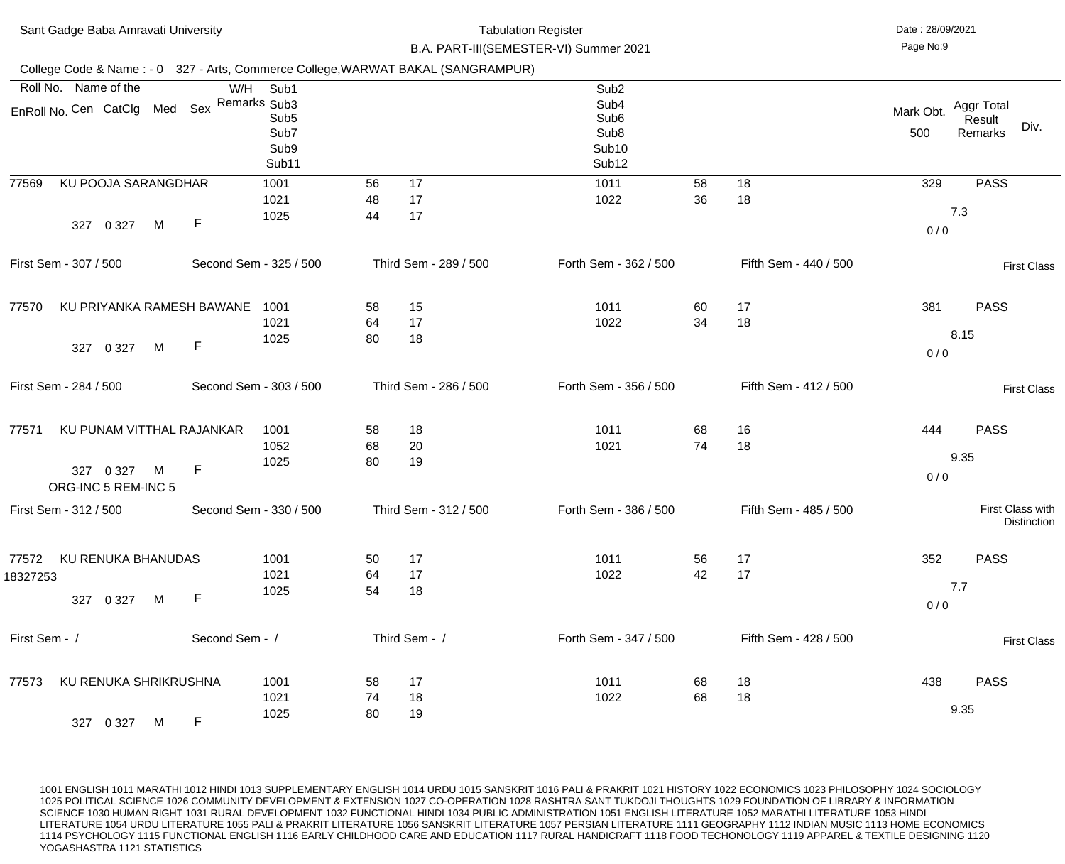| Sant Gadge Baba Amravati University                                              |                |                                                   |                | <b>Tabulation Register</b><br>B.A. PART-III(SEMESTER-VI) Summer 2021 |                                                                                                                        |          | Date: 28/09/2021<br>Page No:9 |                  |                                         |
|----------------------------------------------------------------------------------|----------------|---------------------------------------------------|----------------|----------------------------------------------------------------------|------------------------------------------------------------------------------------------------------------------------|----------|-------------------------------|------------------|-----------------------------------------|
| College Code & Name: - 0 327 - Arts, Commerce College, WARWAT BAKAL (SANGRAMPUR) |                |                                                   |                |                                                                      |                                                                                                                        |          |                               |                  |                                         |
| Roll No. Name of the<br>EnRoll No. Cen CatClg Med Sex Remarks Sub3               | W/H            | Sub1<br>Sub <sub>5</sub><br>Sub7<br>Sub9<br>Sub11 |                |                                                                      | Sub <sub>2</sub><br>Sub <sub>4</sub><br>Sub <sub>6</sub><br>Sub <sub>8</sub><br>Sub <sub>10</sub><br>Sub <sub>12</sub> |          |                               | Mark Obt.<br>500 | Aggr Total<br>Result<br>Div.<br>Remarks |
| KU POOJA SARANGDHAR<br>77569<br>M<br>0 3 2 7<br>327                              | $\mathsf{F}$   | 1001<br>1021<br>1025                              | 56<br>48<br>44 | 17<br>17<br>17                                                       | 1011<br>1022                                                                                                           | 58<br>36 | 18<br>18                      | 329<br>0/0       | <b>PASS</b><br>7.3                      |
| First Sem - 307 / 500                                                            |                | Second Sem - 325 / 500                            |                | Third Sem - 289 / 500                                                | Forth Sem - 362 / 500                                                                                                  |          | Fifth Sem - 440 / 500         |                  | <b>First Class</b>                      |
| KU PRIYANKA RAMESH BAWANE<br>77570<br>M<br>0 3 2 7<br>327                        | $\mathsf F$    | 1001<br>1021<br>1025                              | 58<br>64<br>80 | 15<br>17<br>18                                                       | 1011<br>1022                                                                                                           | 60<br>34 | 17<br>18                      | 381<br>0/0       | <b>PASS</b><br>8.15                     |
| First Sem - 284 / 500                                                            |                | Second Sem - 303 / 500                            |                | Third Sem - 286 / 500                                                | Forth Sem - 356 / 500                                                                                                  |          | Fifth Sem - 412 / 500         |                  | <b>First Class</b>                      |
| KU PUNAM VITTHAL RAJANKAR<br>77571<br>327 0 327 M F<br>ORG-INC 5 REM-INC 5       |                | 1001<br>1052<br>1025                              | 58<br>68<br>80 | 18<br>20<br>19                                                       | 1011<br>1021                                                                                                           | 68<br>74 | 16<br>18                      | 444<br>0/0       | <b>PASS</b><br>9.35                     |
| First Sem - 312 / 500                                                            |                | Second Sem - 330 / 500                            |                | Third Sem - 312 / 500                                                | Forth Sem - 386 / 500                                                                                                  |          | Fifth Sem - 485 / 500         |                  | First Class with<br><b>Distinction</b>  |
| KU RENUKA BHANUDAS<br>77572<br>18327253<br>M<br>327 0 327                        | F              | 1001<br>1021<br>1025                              | 50<br>64<br>54 | 17<br>17<br>18                                                       | 1011<br>1022                                                                                                           | 56<br>42 | 17<br>17                      | 352<br>0/0       | <b>PASS</b><br>7.7                      |
| First Sem - /                                                                    | Second Sem - / |                                                   |                | Third Sem - /                                                        | Forth Sem - 347 / 500                                                                                                  |          | Fifth Sem - 428 / 500         |                  | <b>First Class</b>                      |
| KU RENUKA SHRIKRUSHNA<br>77573<br>327 0 327<br>M                                 | F.             | 1001<br>1021<br>1025                              | 58<br>74<br>80 | 17<br>18<br>19                                                       | 1011<br>1022                                                                                                           | 68<br>68 | 18<br>18                      | 438              | <b>PASS</b><br>9.35                     |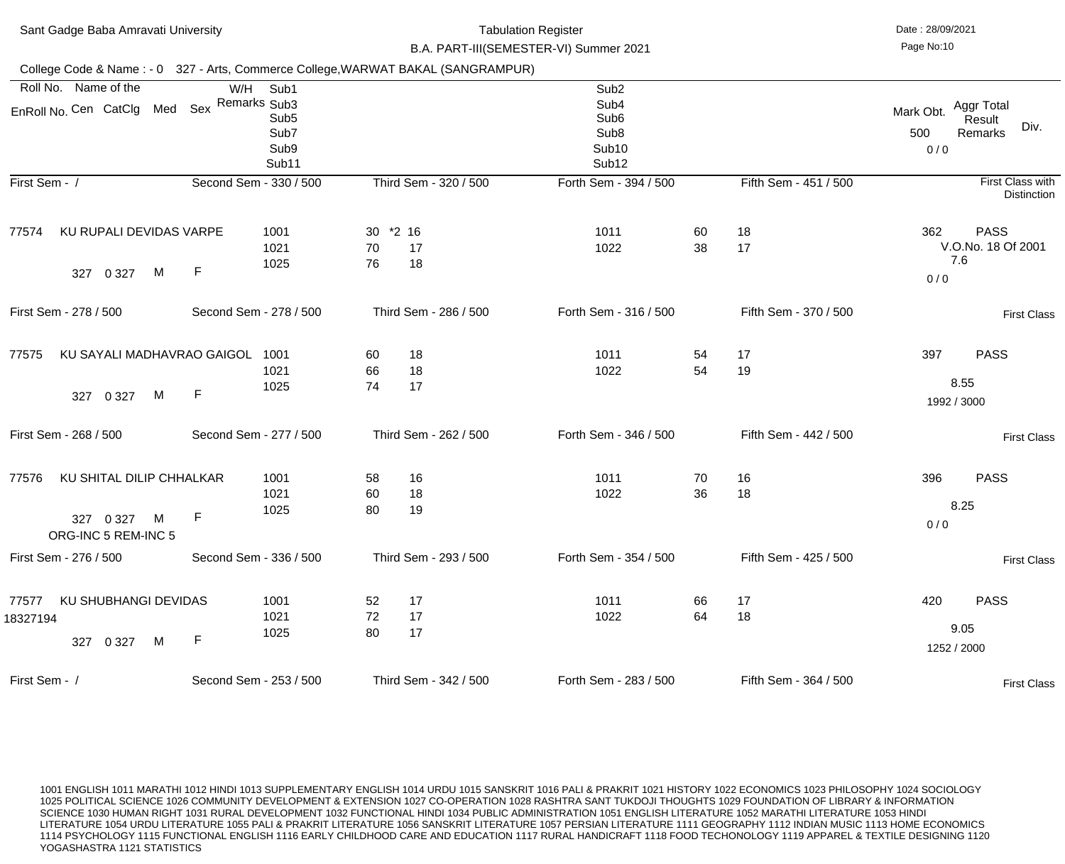| Sant Gadge Baba Amravati University                                               |                                                                          | <b>Tabulation Register</b><br>B.A. PART-III(SEMESTER-VI) Summer 2021 |                                                                                                                        | Date: 28/09/2021<br>Page No:10 |                                                                    |
|-----------------------------------------------------------------------------------|--------------------------------------------------------------------------|----------------------------------------------------------------------|------------------------------------------------------------------------------------------------------------------------|--------------------------------|--------------------------------------------------------------------|
| College Code & Name: - 0 327 - Arts, Commerce College, WARWAT BAKAL (SANGRAMPUR)  |                                                                          |                                                                      |                                                                                                                        |                                |                                                                    |
| Roll No. Name of the<br>Sex<br>EnRoll No. Cen CatClg Med                          | W/H<br>Sub1<br>Remarks Sub3<br>Sub <sub>5</sub><br>Sub7<br>Sub9<br>Sub11 |                                                                      | Sub <sub>2</sub><br>Sub <sub>4</sub><br>Sub <sub>6</sub><br>Sub <sub>8</sub><br>Sub <sub>10</sub><br>Sub <sub>12</sub> |                                | Aggr Total<br>Mark Obt.<br>Result<br>Div.<br>500<br>Remarks<br>0/0 |
| First Sem - /                                                                     | Second Sem - 330 / 500                                                   | Third Sem - 320 / 500                                                | Forth Sem - 394 / 500                                                                                                  | Fifth Sem - 451 / 500          | First Class with<br><b>Distinction</b>                             |
| KU RUPALI DEVIDAS VARPE<br>77574<br>$\mathsf{F}$<br>M<br>327<br>0 3 2 7           | 1001<br>1021<br>1025                                                     | 30 *2 16<br>70<br>17<br>76<br>18                                     | 1011<br>60<br>38<br>1022                                                                                               | 18<br>17                       | 362<br><b>PASS</b><br>V.O.No. 18 Of 2001<br>7.6<br>0/0             |
| First Sem - 278 / 500                                                             | Second Sem - 278 / 500                                                   | Third Sem - 286 / 500                                                | Forth Sem - 316 / 500                                                                                                  | Fifth Sem - 370 / 500          | <b>First Class</b>                                                 |
| KU SAYALI MADHAVRAO GAIGOL<br>77575<br>$\mathsf F$<br>M<br>327<br>0 3 2 7         | 1001<br>1021<br>1025                                                     | 18<br>60<br>18<br>66<br>17<br>74                                     | 1011<br>54<br>54<br>1022                                                                                               | 17<br>19                       | 397<br><b>PASS</b><br>8.55<br>1992 / 3000                          |
| First Sem - 268 / 500                                                             | Second Sem - 277 / 500                                                   | Third Sem - 262 / 500                                                | Forth Sem - 346 / 500                                                                                                  | Fifth Sem - 442 / 500          | <b>First Class</b>                                                 |
| KU SHITAL DILIP CHHALKAR<br>77576<br>F<br>327 0 327<br>M<br>ORG-INC 5 REM-INC 5   | 1001<br>1021<br>1025                                                     | 58<br>16<br>18<br>60<br>19<br>80                                     | 1011<br>70<br>36<br>1022                                                                                               | 16<br>18                       | 396<br><b>PASS</b><br>8.25<br>0/0                                  |
| First Sem - 276 / 500                                                             | Second Sem - 336 / 500                                                   | Third Sem - 293 / 500                                                | Forth Sem - 354 / 500                                                                                                  | Fifth Sem - 425 / 500          | <b>First Class</b>                                                 |
| <b>KU SHUBHANGI DEVIDAS</b><br>77577<br>18327194<br>$\mathsf F$<br>327 0 327<br>M | 1001<br>1021<br>1025                                                     | 17<br>52<br>72<br>17<br>80<br>17                                     | 1011<br>66<br>64<br>1022                                                                                               | 17<br>18                       | 420<br><b>PASS</b><br>9.05<br>1252 / 2000                          |
| First Sem - /                                                                     | Second Sem - 253 / 500                                                   | Third Sem - 342 / 500                                                | Forth Sem - 283 / 500                                                                                                  | Fifth Sem - 364 / 500          | <b>First Class</b>                                                 |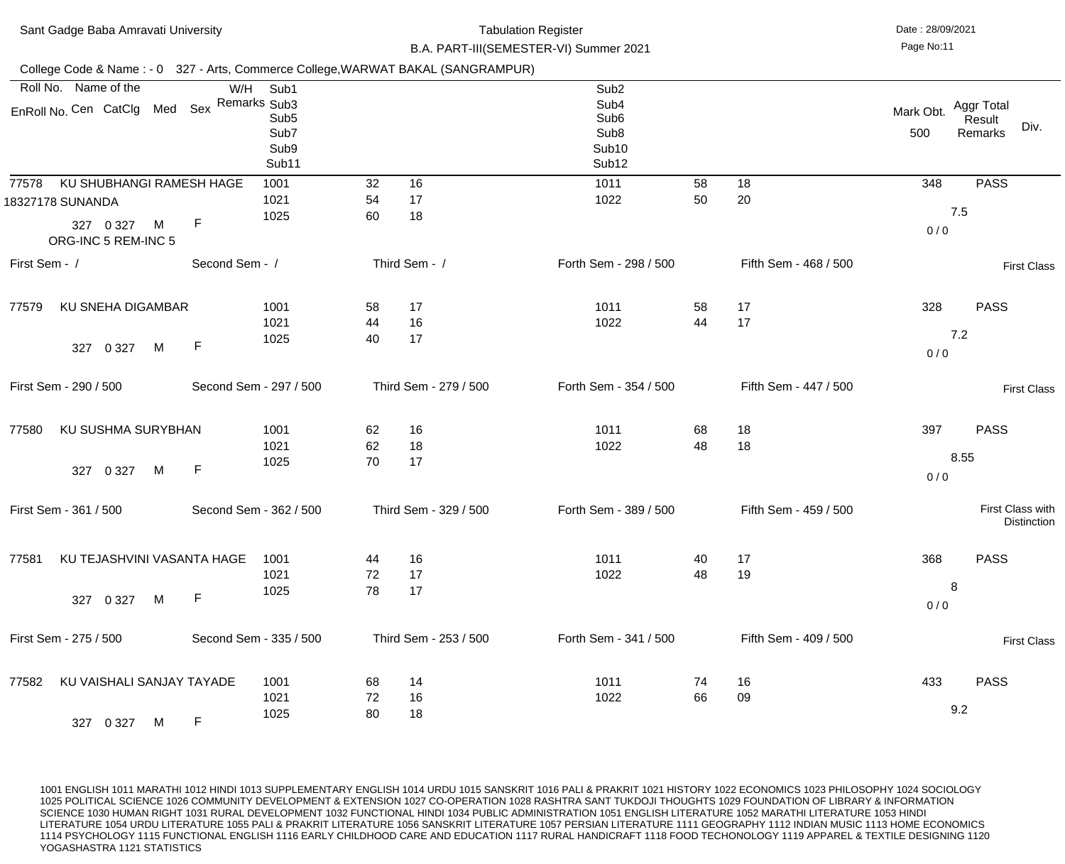| Sant Gadge Baba Amravati University                                                                           |                                                          |                |                       | <b>Tabulation Register</b><br>B.A. PART-III(SEMESTER-VI) Summer 2021                                       |          |                       | Date: 28/09/2021<br>Page No:11 |                                         |
|---------------------------------------------------------------------------------------------------------------|----------------------------------------------------------|----------------|-----------------------|------------------------------------------------------------------------------------------------------------|----------|-----------------------|--------------------------------|-----------------------------------------|
| College Code & Name: - 0 327 - Arts, Commerce College, WARWAT BAKAL (SANGRAMPUR)                              |                                                          |                |                       |                                                                                                            |          |                       |                                |                                         |
| Roll No. Name of the<br>EnRoll No. Cen CatClg Med Sex Remarks Sub3                                            | W/H<br>Sub1<br>Sub <sub>5</sub><br>Sub7<br>Sub9<br>Sub11 |                |                       | Sub <sub>2</sub><br>Sub4<br>Sub <sub>6</sub><br>Sub <sub>8</sub><br>Sub <sub>10</sub><br>Sub <sub>12</sub> |          |                       | Mark Obt.<br>500               | Aggr Total<br>Result<br>Div.<br>Remarks |
| KU SHUBHANGI RAMESH HAGE<br>77578<br>18327178 SUNANDA<br>$\mathsf F$<br>M<br>327 0 327<br>ORG-INC 5 REM-INC 5 | 1001<br>1021<br>1025                                     | 32<br>54<br>60 | 16<br>17<br>18        | 1011<br>1022                                                                                               | 58<br>50 | 18<br>20              | 348<br>0/0                     | <b>PASS</b><br>7.5                      |
| First Sem - /                                                                                                 | Second Sem - /                                           |                | Third Sem - /         | Forth Sem - 298 / 500                                                                                      |          | Fifth Sem - 468 / 500 |                                | <b>First Class</b>                      |
| <b>KU SNEHA DIGAMBAR</b><br>77579<br>F<br>M<br>327<br>0 3 2 7                                                 | 1001<br>1021<br>1025                                     | 58<br>44<br>40 | 17<br>16<br>17        | 1011<br>1022                                                                                               | 58<br>44 | 17<br>17              | 328<br>0/0                     | <b>PASS</b><br>7.2                      |
| First Sem - 290 / 500                                                                                         | Second Sem - 297 / 500                                   |                | Third Sem - 279 / 500 | Forth Sem - 354 / 500                                                                                      |          | Fifth Sem - 447 / 500 |                                | <b>First Class</b>                      |
| KU SUSHMA SURYBHAN<br>77580<br>327 0 327 M F                                                                  | 1001<br>1021<br>1025                                     | 62<br>62<br>70 | 16<br>18<br>17        | 1011<br>1022                                                                                               | 68<br>48 | 18<br>18              | 397<br>0/0                     | <b>PASS</b><br>8.55                     |
| First Sem - 361 / 500                                                                                         | Second Sem - 362 / 500                                   |                | Third Sem - 329 / 500 | Forth Sem - 389 / 500                                                                                      |          | Fifth Sem - 459 / 500 |                                | First Class with<br><b>Distinction</b>  |
| KU TEJASHVINI VASANTA HAGE<br>77581<br>F<br>0 3 2 7<br>M<br>327                                               | 1001<br>1021<br>1025                                     | 44<br>72<br>78 | 16<br>17<br>17        | 1011<br>1022                                                                                               | 40<br>48 | 17<br>19              | 368<br>0/0                     | <b>PASS</b><br>8                        |
| First Sem - 275 / 500                                                                                         | Second Sem - 335 / 500                                   |                | Third Sem - 253 / 500 | Forth Sem - 341 / 500                                                                                      |          | Fifth Sem - 409 / 500 |                                | <b>First Class</b>                      |
| KU VAISHALI SANJAY TAYADE<br>77582<br>$\mathsf{F}$<br>M<br>327 0 327                                          | 1001<br>1021<br>1025                                     | 68<br>72<br>80 | 14<br>16<br>18        | 1011<br>1022                                                                                               | 74<br>66 | 16<br>09              | 433                            | <b>PASS</b><br>9.2                      |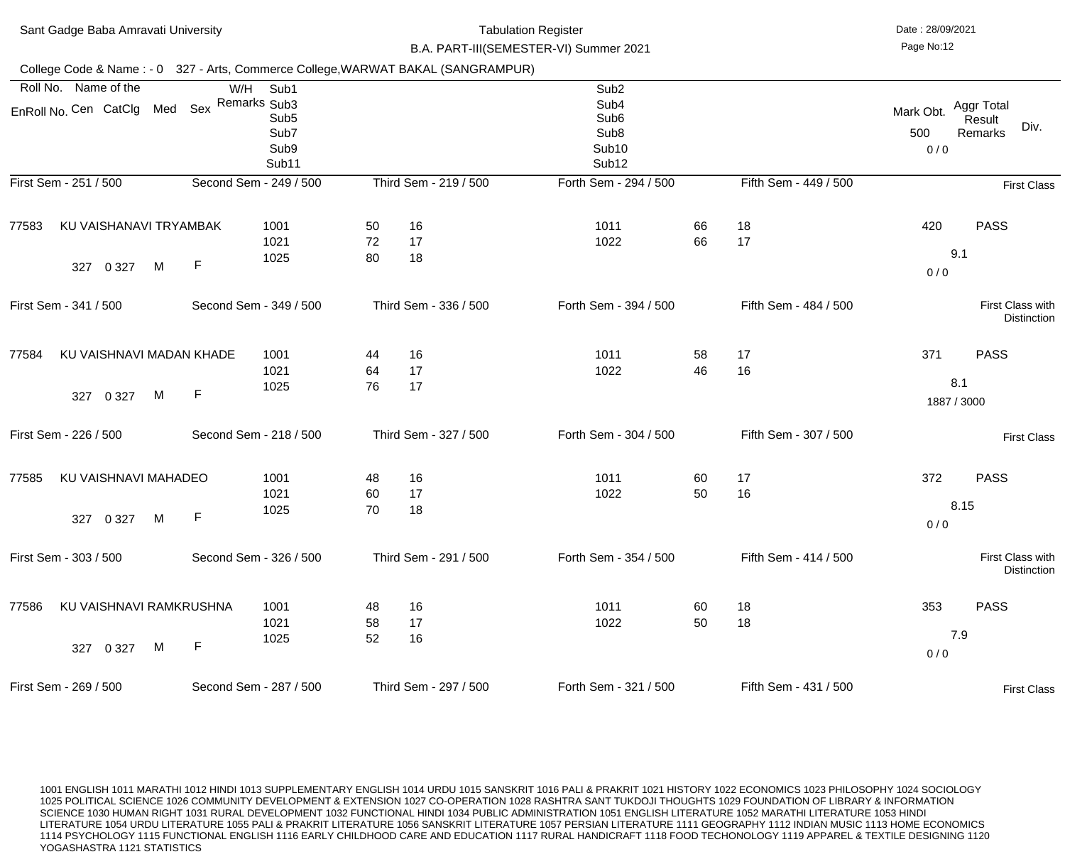|       | Sant Gadge Baba Amravati University                                              |             | <b>Tabulation Register</b><br>B.A. PART-III(SEMESTER-VI) Summer 2021 |                |                       |  |                                                                                                            |          | Date: 28/09/2021<br>Page No:12 |                         |                                         |
|-------|----------------------------------------------------------------------------------|-------------|----------------------------------------------------------------------|----------------|-----------------------|--|------------------------------------------------------------------------------------------------------------|----------|--------------------------------|-------------------------|-----------------------------------------|
|       | College Code & Name: - 0 327 - Arts, Commerce College, WARWAT BAKAL (SANGRAMPUR) |             |                                                                      |                |                       |  |                                                                                                            |          |                                |                         |                                         |
|       | Roll No. Name of the<br>EnRoll No. Cen CatClg Med                                | W/H<br>Sex  | Sub1<br>Remarks Sub3<br>Sub <sub>5</sub><br>Sub7<br>Sub9<br>Sub11    |                |                       |  | Sub <sub>2</sub><br>Sub4<br>Sub <sub>6</sub><br>Sub <sub>8</sub><br>Sub <sub>10</sub><br>Sub <sub>12</sub> |          |                                | Mark Obt.<br>500<br>0/0 | Aggr Total<br>Result<br>Div.<br>Remarks |
|       | First Sem - 251 / 500                                                            |             | Second Sem - 249 / 500                                               |                | Third Sem - 219 / 500 |  | Forth Sem - 294 / 500                                                                                      |          | Fifth Sem - 449 / 500          |                         | <b>First Class</b>                      |
| 77583 | KU VAISHANAVI TRYAMBAK<br>M<br>0 3 2 7<br>327                                    | $\mathsf F$ | 1001<br>1021<br>1025                                                 | 50<br>72<br>80 | 16<br>17<br>18        |  | 1011<br>1022                                                                                               | 66<br>66 | 18<br>17                       | 420<br>0/0              | <b>PASS</b><br>9.1                      |
|       | First Sem - 341 / 500                                                            |             | Second Sem - 349 / 500                                               |                | Third Sem - 336 / 500 |  | Forth Sem - 394 / 500                                                                                      |          | Fifth Sem - 484 / 500          |                         | First Class with<br><b>Distinction</b>  |
| 77584 | KU VAISHNAVI MADAN KHADE<br>M<br>0 3 2 7<br>327                                  | $\mathsf F$ | 1001<br>1021<br>1025                                                 | 44<br>64<br>76 | 16<br>17<br>17        |  | 1011<br>1022                                                                                               | 58<br>46 | 17<br>16                       | 371                     | <b>PASS</b><br>8.1<br>1887 / 3000       |
|       | First Sem - 226 / 500                                                            |             | Second Sem - 218 / 500                                               |                | Third Sem - 327 / 500 |  | Forth Sem - 304 / 500                                                                                      |          | Fifth Sem - 307 / 500          |                         | <b>First Class</b>                      |
| 77585 | KU VAISHNAVI MAHADEO<br>M<br>0 3 2 7<br>327                                      | F           | 1001<br>1021<br>1025                                                 | 48<br>60<br>70 | 16<br>17<br>18        |  | 1011<br>1022                                                                                               | 60<br>50 | 17<br>16                       | 372<br>0/0              | <b>PASS</b><br>8.15                     |
|       | First Sem - 303 / 500                                                            |             | Second Sem - 326 / 500                                               |                | Third Sem - 291 / 500 |  | Forth Sem - 354 / 500                                                                                      |          | Fifth Sem - 414 / 500          |                         | First Class with<br><b>Distinction</b>  |
| 77586 | KU VAISHNAVI RAMKRUSHNA<br>M<br>327 0 327                                        | $\mathsf F$ | 1001<br>1021<br>1025                                                 | 48<br>58<br>52 | 16<br>17<br>16        |  | 1011<br>1022                                                                                               | 60<br>50 | 18<br>18                       | 353<br>0/0              | <b>PASS</b><br>7.9                      |
|       | First Sem - 269 / 500                                                            |             | Second Sem - 287 / 500                                               |                | Third Sem - 297 / 500 |  | Forth Sem - 321 / 500                                                                                      |          | Fifth Sem - 431 / 500          |                         | <b>First Class</b>                      |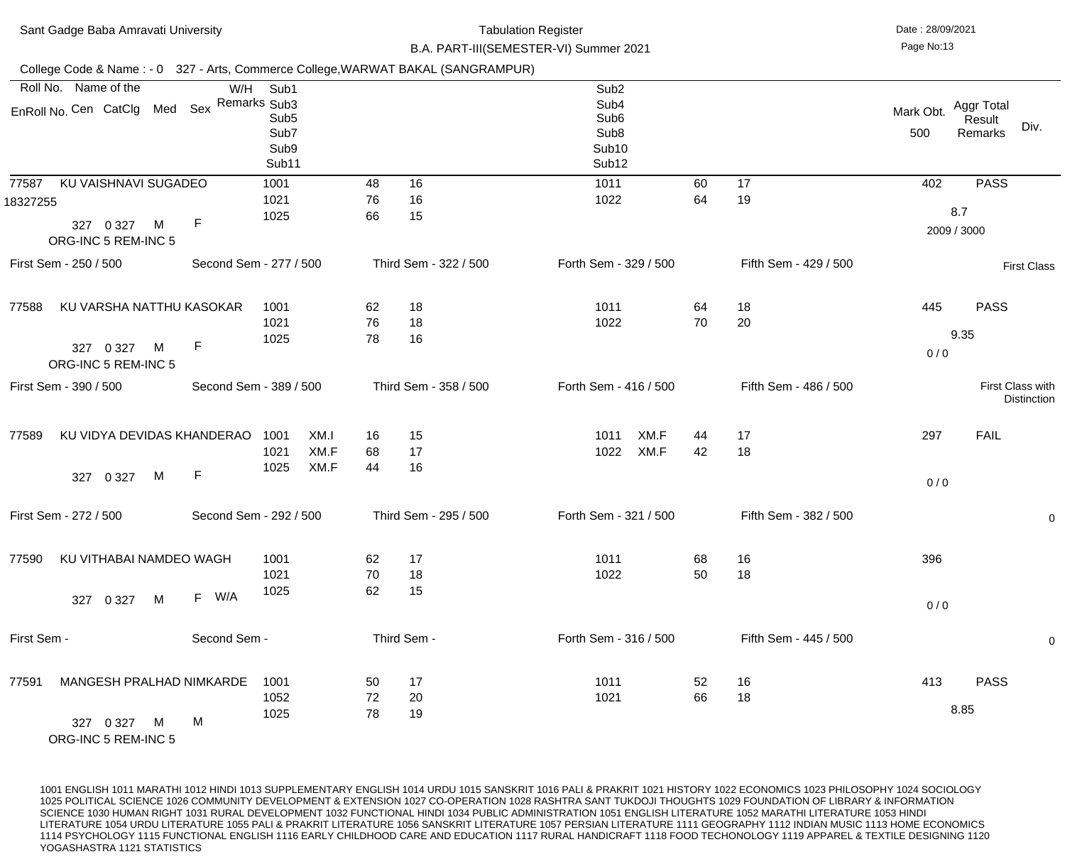| Sant Gadge Baba Amravati University                                                |                        |                      |                                                                   |                | <b>Tabulation Register</b><br>B.A. PART-III(SEMESTER-VI) Summer 2021 |                              |          |                       |            |                                                                                                                        |  |  |                  |                                                |
|------------------------------------------------------------------------------------|------------------------|----------------------|-------------------------------------------------------------------|----------------|----------------------------------------------------------------------|------------------------------|----------|-----------------------|------------|------------------------------------------------------------------------------------------------------------------------|--|--|------------------|------------------------------------------------|
| College Code & Name: - 0 327 - Arts, Commerce College, WARWAT BAKAL (SANGRAMPUR)   |                        |                      |                                                                   |                |                                                                      |                              |          |                       |            |                                                                                                                        |  |  |                  |                                                |
| Roll No. Name of the<br>W/H<br>EnRoll No. Cen CatClg Med Sex                       |                        |                      | Sub1<br>Remarks Sub3<br>Sub <sub>5</sub><br>Sub7<br>Sub9<br>Sub11 |                |                                                                      |                              |          |                       |            | Sub <sub>2</sub><br>Sub <sub>4</sub><br>Sub <sub>6</sub><br>Sub <sub>8</sub><br>Sub <sub>10</sub><br>Sub <sub>12</sub> |  |  | Mark Obt.<br>500 | <b>Aggr Total</b><br>Result<br>Div.<br>Remarks |
| KU VAISHNAVI SUGADEO<br>77587<br>18327255<br>327 0 327<br>M<br>ORG-INC 5 REM-INC 5 | $\mathsf{F}$           | 1001<br>1021<br>1025 |                                                                   | 48<br>76<br>66 | 16<br>16<br>15                                                       | 1011<br>1022                 | 60<br>64 | 17<br>19              | 402        | <b>PASS</b><br>8.7<br>2009 / 3000                                                                                      |  |  |                  |                                                |
| First Sem - 250 / 500                                                              | Second Sem - 277 / 500 |                      |                                                                   |                | Third Sem - 322 / 500                                                | Forth Sem - 329 / 500        |          | Fifth Sem - 429 / 500 |            | <b>First Class</b>                                                                                                     |  |  |                  |                                                |
| KU VARSHA NATTHU KASOKAR<br>77588<br>M<br>327 0 327<br>ORG-INC 5 REM-INC 5         | $\mathsf{F}$           | 1001<br>1021<br>1025 |                                                                   | 62<br>76<br>78 | 18<br>18<br>16                                                       | 1011<br>1022                 | 64<br>70 | 18<br>20              | 445<br>0/0 | <b>PASS</b><br>9.35                                                                                                    |  |  |                  |                                                |
| First Sem - 390 / 500                                                              | Second Sem - 389 / 500 |                      |                                                                   |                | Third Sem - 358 / 500                                                | Forth Sem - 416 / 500        |          | Fifth Sem - 486 / 500 |            | First Class with<br><b>Distinction</b>                                                                                 |  |  |                  |                                                |
| KU VIDYA DEVIDAS KHANDERAO<br>77589<br>327 0 327<br>M                              | $\mathsf{F}$           | 1001<br>1021<br>1025 | XM.I<br>XM.F<br>XM.F                                              | 16<br>68<br>44 | 15<br>17<br>16                                                       | XM.F<br>1011<br>XM.F<br>1022 | 44<br>42 | 17<br>18              | 297<br>0/0 | <b>FAIL</b>                                                                                                            |  |  |                  |                                                |
| First Sem - 272 / 500                                                              | Second Sem - 292 / 500 |                      |                                                                   |                | Third Sem - 295 / 500                                                | Forth Sem - 321 / 500        |          | Fifth Sem - 382 / 500 |            | $\overline{0}$                                                                                                         |  |  |                  |                                                |
| KU VITHABAI NAMDEO WAGH<br>77590<br>0 3 2 7<br>M<br>327                            | F W/A                  | 1001<br>1021<br>1025 |                                                                   | 62<br>70<br>62 | 17<br>18<br>15                                                       | 1011<br>1022                 | 68<br>50 | 16<br>18              | 396<br>0/0 |                                                                                                                        |  |  |                  |                                                |
| First Sem -                                                                        | Second Sem -           |                      |                                                                   |                | Third Sem -                                                          | Forth Sem - 316 / 500        |          | Fifth Sem - 445 / 500 |            | $\mathbf 0$                                                                                                            |  |  |                  |                                                |
| MANGESH PRALHAD NIMKARDE<br>77591<br>327 0 327<br>M                                | M                      | 1001<br>1052<br>1025 |                                                                   | 50<br>72<br>78 | 17<br>20<br>19                                                       | 1011<br>1021                 | 52<br>66 | 16<br>18              | 413        | <b>PASS</b><br>8.85                                                                                                    |  |  |                  |                                                |

ORG-INC 5 REM-INC 5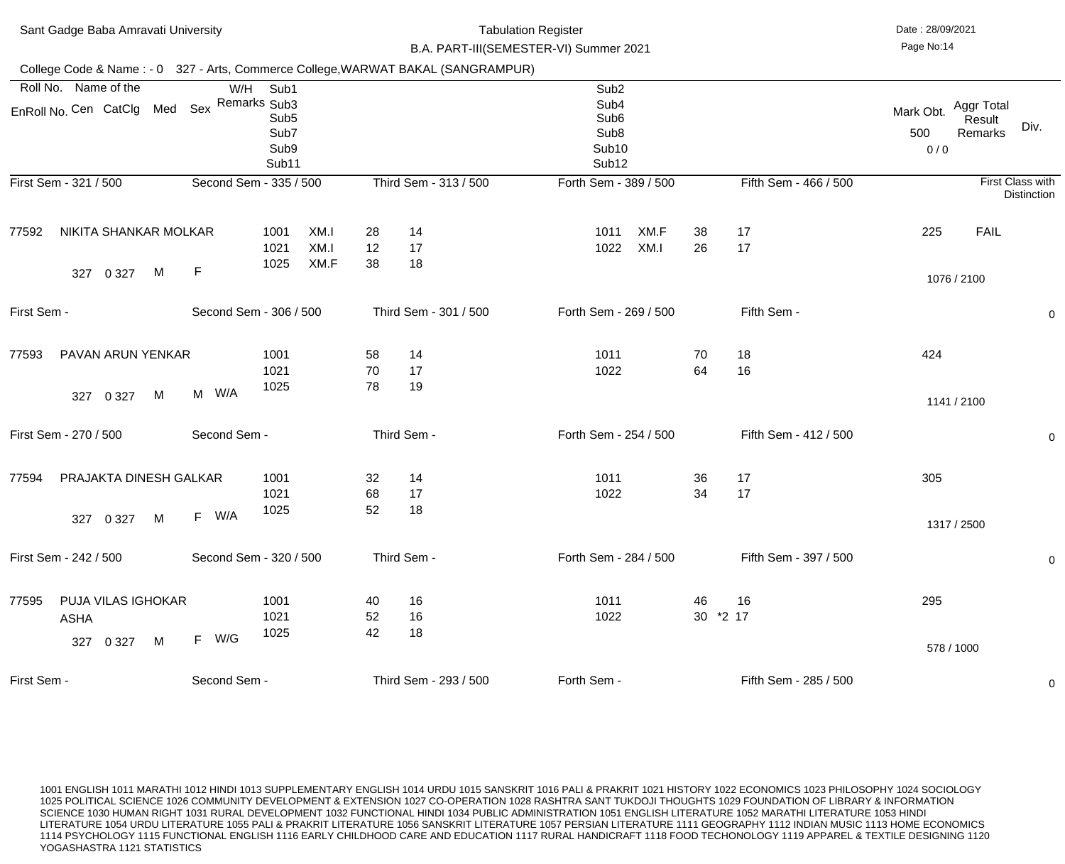| Sant Gadge Baba Amravati University |                                                           |   |                        |                                                          | <b>Tabulation Register</b><br>B.A. PART-III(SEMESTER-VI) Summer 2021 |                |                                                                                  |                                                                                                            |              |                |                       | Date: 28/09/2021<br>Page No:14 |                                 |                                        |  |
|-------------------------------------|-----------------------------------------------------------|---|------------------------|----------------------------------------------------------|----------------------------------------------------------------------|----------------|----------------------------------------------------------------------------------|------------------------------------------------------------------------------------------------------------|--------------|----------------|-----------------------|--------------------------------|---------------------------------|----------------------------------------|--|
|                                     |                                                           |   |                        |                                                          |                                                                      |                | College Code & Name: - 0 327 - Arts, Commerce College, WARWAT BAKAL (SANGRAMPUR) |                                                                                                            |              |                |                       |                                |                                 |                                        |  |
| Roll No.                            | Name of the<br>EnRoll No. Cen CatClg Med Sex Remarks Sub3 |   |                        | W/H<br>Sub1<br>Sub <sub>5</sub><br>Sub7<br>Sub9<br>Sub11 |                                                                      |                |                                                                                  | Sub <sub>2</sub><br>Sub4<br>Sub <sub>6</sub><br>Sub <sub>8</sub><br>Sub <sub>10</sub><br>Sub <sub>12</sub> |              |                |                       | Mark Obt.<br>500<br>0/0        | Aggr Total<br>Result<br>Remarks | Div.                                   |  |
|                                     | First Sem - 321 / 500                                     |   | Second Sem - 335 / 500 |                                                          |                                                                      |                | Third Sem - 313 / 500                                                            | Forth Sem - 389 / 500                                                                                      |              |                | Fifth Sem - 466 / 500 |                                |                                 | First Class with<br><b>Distinction</b> |  |
| 77592                               | NIKITA SHANKAR MOLKAR<br>0 3 2 7<br>327                   | M | $\mathsf F$            | 1001<br>1021<br>1025                                     | XM.I<br>XM.I<br>XM.F                                                 | 28<br>12<br>38 | 14<br>17<br>18                                                                   | 1011<br>1022                                                                                               | XM.F<br>XM.I | 38<br>26       | 17<br>17              | 225                            | <b>FAIL</b>                     |                                        |  |
|                                     |                                                           |   |                        |                                                          |                                                                      |                |                                                                                  |                                                                                                            |              |                |                       |                                | 1076 / 2100                     |                                        |  |
| First Sem -                         |                                                           |   | Second Sem - 306 / 500 |                                                          |                                                                      |                | Third Sem - 301 / 500                                                            | Forth Sem - 269 / 500                                                                                      |              |                | Fifth Sem -           |                                |                                 | $\mathbf 0$                            |  |
| 77593                               | PAVAN ARUN YENKAR                                         |   |                        | 1001<br>1021                                             |                                                                      | 58<br>70       | 14<br>17                                                                         | 1011<br>1022                                                                                               |              | 70<br>64       | 18<br>16              | 424                            |                                 |                                        |  |
|                                     | 0 3 2 7<br>327                                            | M | W/A<br>M               | 1025                                                     |                                                                      | 78             | 19                                                                               |                                                                                                            |              |                |                       |                                | 1141 / 2100                     |                                        |  |
|                                     | First Sem - 270 / 500                                     |   | Second Sem -           |                                                          |                                                                      |                | Third Sem -                                                                      | Forth Sem - 254 / 500                                                                                      |              |                | Fifth Sem - 412 / 500 |                                |                                 | $\mathbf 0$                            |  |
| 77594                               | PRAJAKTA DINESH GALKAR                                    |   |                        | 1001<br>1021                                             |                                                                      | 32<br>68       | 14<br>17                                                                         | 1011<br>1022                                                                                               |              | 36<br>34       | 17<br>17              | 305                            |                                 |                                        |  |
|                                     | 327 0 327                                                 | M | F W/A                  | 1025                                                     |                                                                      | 52             | 18                                                                               |                                                                                                            |              |                |                       |                                | 1317 / 2500                     |                                        |  |
|                                     | First Sem - 242 / 500                                     |   | Second Sem - 320 / 500 |                                                          |                                                                      |                | Third Sem -                                                                      | Forth Sem - 284 / 500                                                                                      |              |                | Fifth Sem - 397 / 500 |                                |                                 | $\mathbf 0$                            |  |
| 77595                               | <b>PUJA VILAS IGHOKAR</b><br>ASHA                         |   |                        | 1001<br>1021<br>1025                                     |                                                                      | 40<br>52<br>42 | 16<br>16<br>18                                                                   | 1011<br>1022                                                                                               |              | 46<br>30 *2 17 | 16                    | 295                            |                                 |                                        |  |
|                                     | 0 3 2 7<br>327                                            | M | W/G<br>F               |                                                          |                                                                      |                |                                                                                  |                                                                                                            |              |                |                       |                                | 578 / 1000                      |                                        |  |
| First Sem -                         |                                                           |   | Second Sem -           |                                                          |                                                                      |                | Third Sem - 293 / 500                                                            | Forth Sem -                                                                                                |              |                | Fifth Sem - 285 / 500 |                                |                                 | 0                                      |  |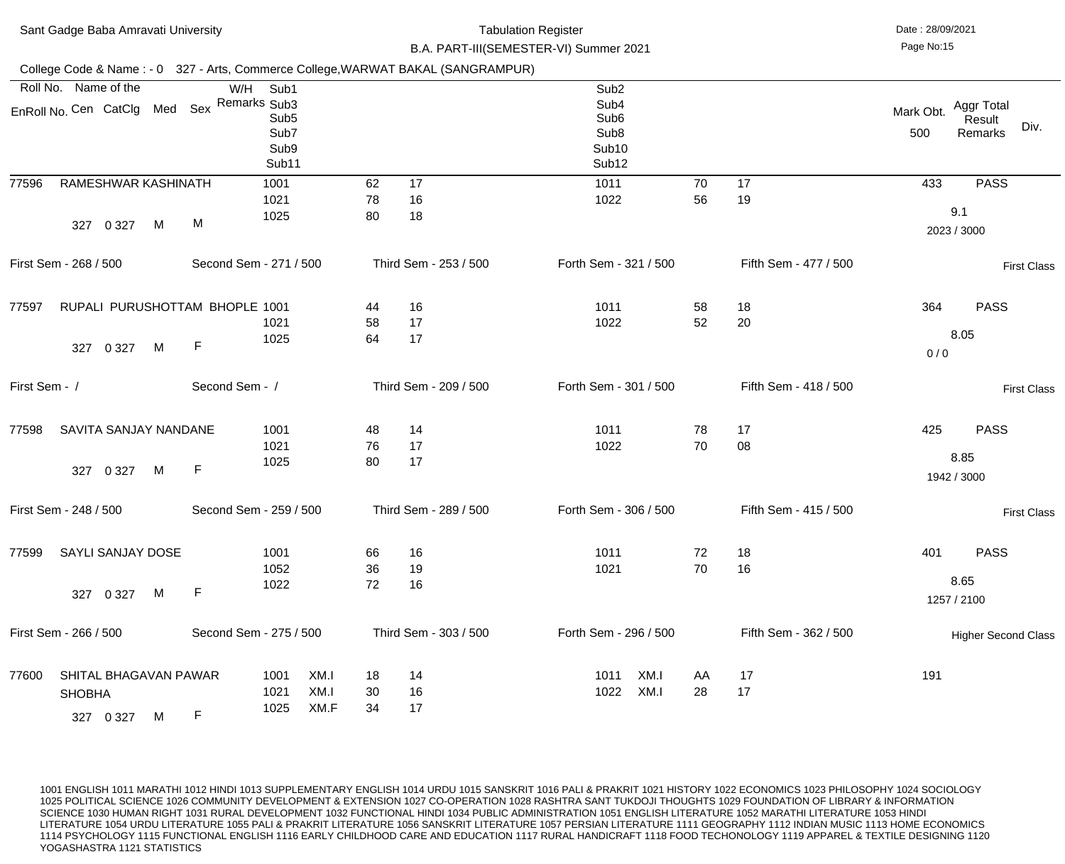| Sant Gadge Baba Amravati University                                              |                                     |                                           |                | <b>Tabulation Register</b><br>B.A. PART-III(SEMESTER-VI) Summer 2021 | Date: 28/09/2021<br>Page No:15                                                                             |          |                       |                                                             |
|----------------------------------------------------------------------------------|-------------------------------------|-------------------------------------------|----------------|----------------------------------------------------------------------|------------------------------------------------------------------------------------------------------------|----------|-----------------------|-------------------------------------------------------------|
| College Code & Name: - 0 327 - Arts, Commerce College, WARWAT BAKAL (SANGRAMPUR) |                                     |                                           |                |                                                                      |                                                                                                            |          |                       |                                                             |
| Roll No. Name of the<br>EnRoll No. Cen CatClg Med Sex Remarks Sub3               | W/H Sub1                            | Sub <sub>5</sub><br>Sub7<br>Sub9<br>Sub11 |                |                                                                      | Sub <sub>2</sub><br>Sub4<br>Sub <sub>6</sub><br>Sub <sub>8</sub><br>Sub <sub>10</sub><br>Sub <sub>12</sub> |          |                       | Aggr Total<br>Mark Obt.<br>Result<br>Div.<br>500<br>Remarks |
| 77596<br>RAMESHWAR KASHINATH<br>M<br>0 3 2 7<br>327                              | 1001<br>1021<br>1025<br>M           |                                           | 62<br>78<br>80 | 17<br>16<br>18                                                       | 1011<br>1022                                                                                               | 70<br>56 | 17<br>19              | 433<br><b>PASS</b><br>9.1<br>2023 / 3000                    |
| First Sem - 268 / 500                                                            | Second Sem - 271 / 500              |                                           |                | Third Sem - 253 / 500                                                | Forth Sem - 321 / 500                                                                                      |          | Fifth Sem - 477 / 500 | <b>First Class</b>                                          |
| RUPALI PURUSHOTTAM BHOPLE 1001<br>77597<br>M<br>0 3 2 7<br>327                   | 1021<br>1025<br>$\mathsf F$         |                                           | 44<br>58<br>64 | 16<br>17<br>17                                                       | 1011<br>1022                                                                                               | 58<br>52 | 18<br>20              | 364<br><b>PASS</b><br>8.05<br>0/0                           |
| First Sem - /                                                                    | Second Sem - /                      |                                           |                | Third Sem - 209 / 500                                                | Forth Sem - 301 / 500                                                                                      |          | Fifth Sem - 418 / 500 | <b>First Class</b>                                          |
| SAVITA SANJAY NANDANE<br>77598<br>327 0 327 M F                                  | 1001<br>1021<br>1025                |                                           | 48<br>76<br>80 | 14<br>17<br>17                                                       | 1011<br>1022                                                                                               | 78<br>70 | 17<br>08              | 425<br><b>PASS</b><br>8.85<br>1942 / 3000                   |
| First Sem - 248 / 500                                                            | Second Sem - 259 / 500              |                                           |                | Third Sem - 289 / 500                                                | Forth Sem - 306 / 500                                                                                      |          | Fifth Sem - 415 / 500 | <b>First Class</b>                                          |
| <b>SAYLI SANJAY DOSE</b><br>77599<br>M<br>327 0 327                              | 1001<br>1052<br>1022<br>$\mathsf F$ |                                           | 66<br>36<br>72 | 16<br>19<br>16                                                       | 1011<br>1021                                                                                               | 72<br>70 | 18<br>16              | 401<br><b>PASS</b><br>8.65<br>1257 / 2100                   |
| First Sem - 266 / 500                                                            | Second Sem - 275 / 500              |                                           |                | Third Sem - 303 / 500                                                | Forth Sem - 296 / 500                                                                                      |          | Fifth Sem - 362 / 500 | <b>Higher Second Class</b>                                  |
| SHITAL BHAGAVAN PAWAR<br>77600<br><b>SHOBHA</b><br>327 0 327<br>M                | 1001<br>1021<br>1025<br>F           | XM.I<br>XM.I<br>XM.F                      | 18<br>30<br>34 | 14<br>16<br>17                                                       | XM.I<br>1011<br>XM.I<br>1022                                                                               | AA<br>28 | 17<br>17              | 191                                                         |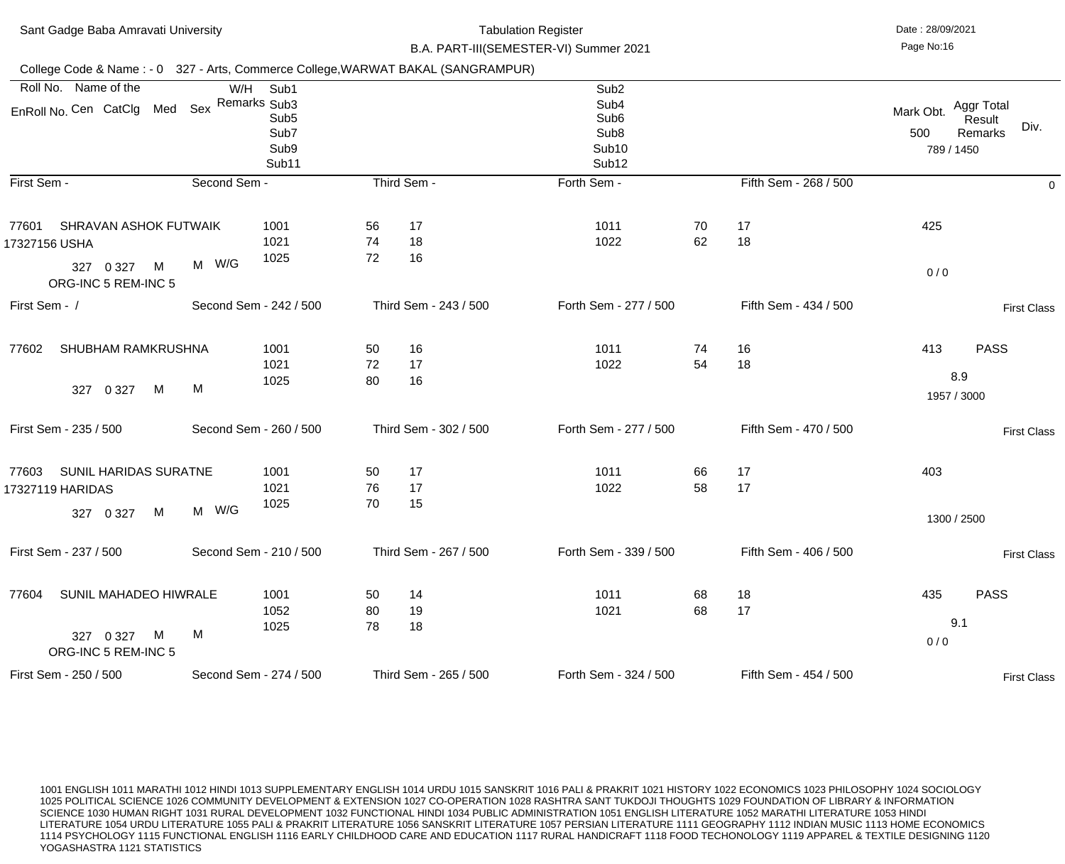| Sant Gadge Baba Amravati University                                                             |              |                                                   |                | <b>Tabulation Register</b><br>B.A. PART-III(SEMESTER-VI) Summer 2021 | Date: 28/09/2021<br>Page No:16                                                                                         |          |                       |                                |                                         |
|-------------------------------------------------------------------------------------------------|--------------|---------------------------------------------------|----------------|----------------------------------------------------------------------|------------------------------------------------------------------------------------------------------------------------|----------|-----------------------|--------------------------------|-----------------------------------------|
| College Code & Name: - 0 327 - Arts, Commerce College, WARWAT BAKAL (SANGRAMPUR)                |              |                                                   |                |                                                                      |                                                                                                                        |          |                       |                                |                                         |
| Roll No. Name of the<br>EnRoll No. Cen CatClg Med Sex Remarks Sub3                              | W/H          | Sub1<br>Sub <sub>5</sub><br>Sub7<br>Sub9<br>Sub11 |                |                                                                      | Sub <sub>2</sub><br>Sub <sub>4</sub><br>Sub <sub>6</sub><br>Sub <sub>8</sub><br>Sub <sub>10</sub><br>Sub <sub>12</sub> |          |                       | Mark Obt.<br>500<br>789 / 1450 | Aggr Total<br>Result<br>Div.<br>Remarks |
| First Sem -                                                                                     | Second Sem - |                                                   |                | Third Sem -                                                          | Forth Sem -                                                                                                            |          | Fifth Sem - 268 / 500 |                                | 0                                       |
| <b>SHRAVAN ASHOK FUTWAIK</b><br>77601<br>17327156 USHA<br>M<br>327 0 327<br>ORG-INC 5 REM-INC 5 | M W/G        | 1001<br>1021<br>1025                              | 56<br>74<br>72 | 17<br>18<br>16                                                       | 1011<br>1022                                                                                                           | 70<br>62 | 17<br>18              | 425<br>0/0                     |                                         |
| First Sem - /                                                                                   |              | Second Sem - 242 / 500                            |                | Third Sem - 243 / 500                                                | Forth Sem - 277 / 500                                                                                                  |          | Fifth Sem - 434 / 500 |                                | <b>First Class</b>                      |
| <b>SHUBHAM RAMKRUSHNA</b><br>77602<br>M<br>0 3 2 7<br>327                                       | M            | 1001<br>1021<br>1025                              | 50<br>72<br>80 | 16<br>17<br>16                                                       | 1011<br>1022                                                                                                           | 74<br>54 | 16<br>18              | 413<br>8.9<br>1957 / 3000      | <b>PASS</b>                             |
| First Sem - 235 / 500                                                                           |              | Second Sem - 260 / 500                            |                | Third Sem - 302 / 500                                                | Forth Sem - 277 / 500                                                                                                  |          | Fifth Sem - 470 / 500 |                                | <b>First Class</b>                      |
| 77603<br><b>SUNIL HARIDAS SURATNE</b><br>17327119 HARIDAS<br>M<br>327 0 327                     | M W/G        | 1001<br>1021<br>1025                              | 50<br>76<br>70 | 17<br>17<br>15                                                       | 1011<br>1022                                                                                                           | 66<br>58 | 17<br>17              | 403<br>1300 / 2500             |                                         |
| First Sem - 237 / 500                                                                           |              | Second Sem - 210 / 500                            |                | Third Sem - 267 / 500                                                | Forth Sem - 339 / 500                                                                                                  |          | Fifth Sem - 406 / 500 |                                | <b>First Class</b>                      |
| SUNIL MAHADEO HIWRALE<br>77604<br>M<br>327 0 327<br>ORG-INC 5 REM-INC 5                         | M            | 1001<br>1052<br>1025                              | 50<br>80<br>78 | 14<br>19<br>18                                                       | 1011<br>1021                                                                                                           | 68<br>68 | 18<br>17              | 435<br>9.1<br>0/0              | <b>PASS</b>                             |
| First Sem - 250 / 500                                                                           |              | Second Sem - 274 / 500                            |                | Third Sem - 265 / 500                                                | Forth Sem - 324 / 500                                                                                                  |          | Fifth Sem - 454 / 500 |                                | <b>First Class</b>                      |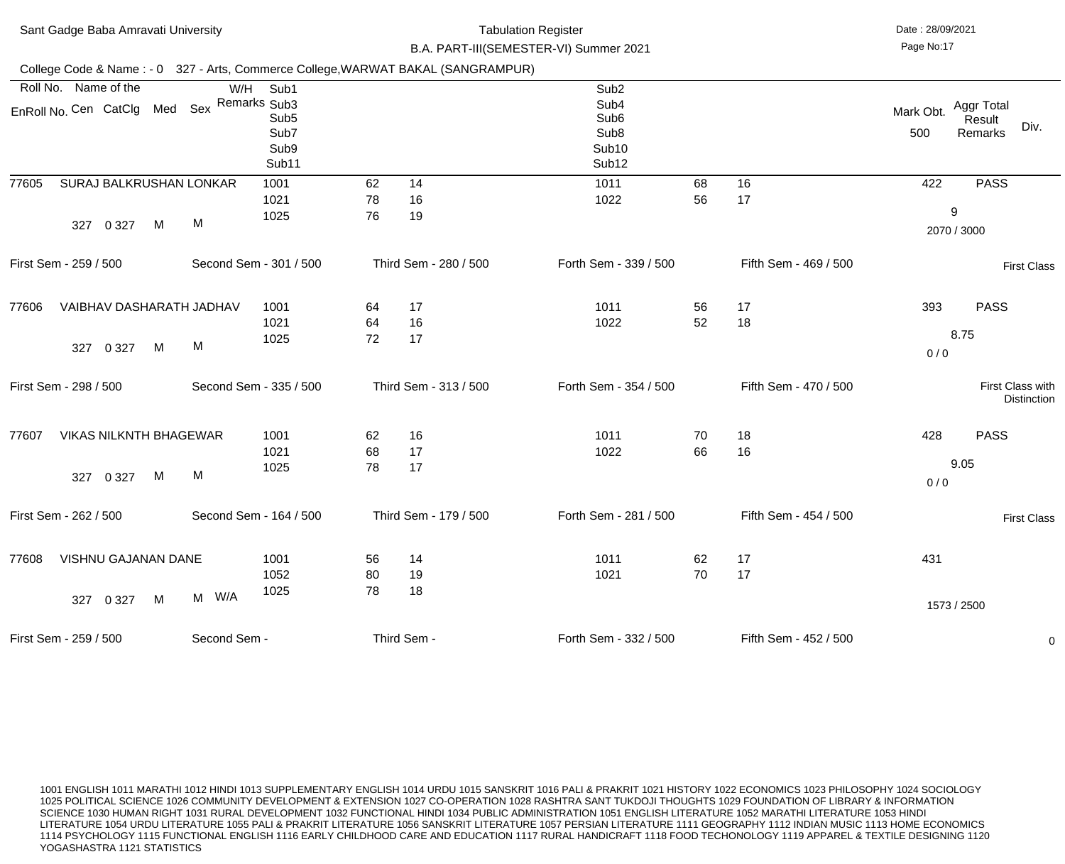| Sant Gadge Baba Amravati University |                               |         |   |                                            |                                                                                  |                | Date: 28/09/2021<br>Page No:17 |                                                                                        |          |                       |                  |                                         |
|-------------------------------------|-------------------------------|---------|---|--------------------------------------------|----------------------------------------------------------------------------------|----------------|--------------------------------|----------------------------------------------------------------------------------------|----------|-----------------------|------------------|-----------------------------------------|
|                                     |                               |         |   |                                            | College Code & Name: - 0 327 - Arts, Commerce College, WARWAT BAKAL (SANGRAMPUR) |                |                                | B.A. PART-III(SEMESTER-VI) Summer 2021                                                 |          |                       |                  |                                         |
|                                     | Roll No. Name of the          |         |   | W/H                                        | Sub1                                                                             |                |                                | Sub <sub>2</sub>                                                                       |          |                       |                  |                                         |
|                                     |                               |         |   | EnRoll No. Cen CatClg Med Sex Remarks Sub3 | Sub <sub>5</sub><br>Sub7<br>Sub9<br>Sub11                                        |                |                                | Sub4<br>Sub <sub>6</sub><br>Sub <sub>8</sub><br>Sub <sub>10</sub><br>Sub <sub>12</sub> |          |                       | Mark Obt.<br>500 | Aggr Total<br>Result<br>Div.<br>Remarks |
| 77605                               | SURAJ BALKRUSHAN LONKAR       |         |   |                                            | 1001                                                                             | 62             | 14                             | 1011                                                                                   | 68       | 16                    | 422              | <b>PASS</b>                             |
|                                     | 327                           | 0 3 2 7 | M | M                                          | 1021<br>1025                                                                     | 78<br>76       | 16<br>19                       | 1022                                                                                   | 56       | 17                    |                  | 9<br>2070 / 3000                        |
|                                     | First Sem - 259 / 500         |         |   |                                            | Second Sem - 301 / 500                                                           |                | Third Sem - 280 / 500          | Forth Sem - 339 / 500                                                                  |          | Fifth Sem - 469 / 500 |                  | <b>First Class</b>                      |
| 77606                               | VAIBHAV DASHARATH JADHAV      |         |   |                                            | 1001<br>1021                                                                     | 64<br>64       | 17<br>16                       | 1011<br>1022                                                                           | 56<br>52 | 17<br>18              | 393              | <b>PASS</b>                             |
|                                     | 327                           | 0 3 2 7 | M | M                                          | 1025                                                                             | 72             | 17                             |                                                                                        |          |                       | 0/0              | 8.75                                    |
|                                     | First Sem - 298 / 500         |         |   |                                            | Second Sem - 335 / 500                                                           |                | Third Sem - 313 / 500          | Forth Sem - 354 / 500                                                                  |          | Fifth Sem - 470 / 500 |                  | First Class with<br><b>Distinction</b>  |
| 77607                               | <b>VIKAS NILKNTH BHAGEWAR</b> |         |   |                                            | 1001<br>1021                                                                     | 62<br>68       | 16<br>17                       | 1011<br>1022                                                                           | 70<br>66 | 18<br>16              | 428              | <b>PASS</b>                             |
|                                     | 327 0 327                     |         | M | M                                          | 1025                                                                             | 78             | 17                             |                                                                                        |          |                       | 0/0              | 9.05                                    |
|                                     | First Sem - 262 / 500         |         |   |                                            | Second Sem - 164 / 500                                                           |                | Third Sem - 179 / 500          | Forth Sem - 281 / 500                                                                  |          | Fifth Sem - 454 / 500 |                  | <b>First Class</b>                      |
| 77608                               | VISHNU GAJANAN DANE           |         |   |                                            | 1001<br>1052<br>1025                                                             | 56<br>80<br>78 | 14<br>19<br>18                 | 1011<br>1021                                                                           | 62<br>70 | 17<br>17              | 431              |                                         |
|                                     | 327 0 327                     |         | M | M W/A                                      |                                                                                  |                |                                |                                                                                        |          |                       |                  | 1573 / 2500                             |
|                                     | First Sem - 259 / 500         |         |   | Second Sem -                               |                                                                                  |                | Third Sem -                    | Forth Sem - 332 / 500                                                                  |          | Fifth Sem - 452 / 500 |                  | $\overline{0}$                          |